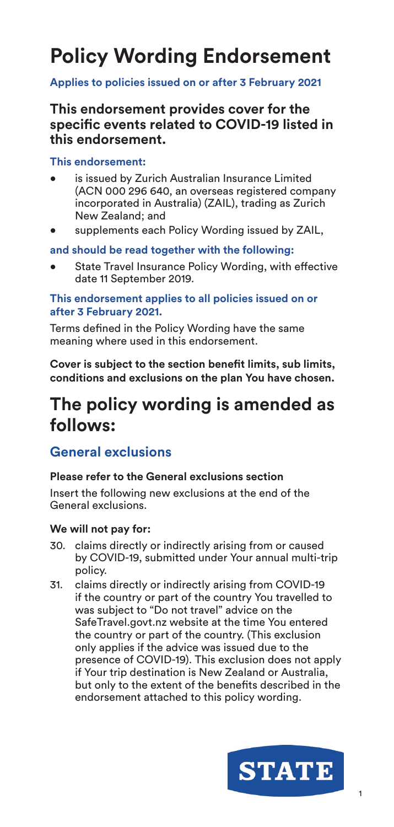# **Policy Wording Endorsement**

#### **Applies to policies issued on or after 3 February 2021**

**This endorsement provides cover for the specific events related to COVID-19 listed in this endorsement.**

#### **This endorsement:**

- is issued by Zurich Australian Insurance Limited (ACN 000 296 640, an overseas registered company incorporated in Australia) (ZAIL), trading as Zurich New Zealand; and
- supplements each Policy Wording issued by ZAIL,

#### **and should be read together with the following:**

State Travel Insurance Policy Wording, with effective date 11 September 2019.

#### **This endorsement applies to all policies issued on or after 3 February 2021.**

Terms defined in the Policy Wording have the same meaning where used in this endorsement.

**Cover is subject to the section benefit limits, sub limits, conditions and exclusions on the plan You have chosen.**

# **The policy wording is amended as follows:**

#### **General exclusions**

#### **Please refer to the General exclusions section**

Insert the following new exclusions at the end of the General exclusions.

#### **We will not pay for:**

- 30. claims directly or indirectly arising from or caused by COVID-19, submitted under Your annual multi-trip policy.
- 31. claims directly or indirectly arising from COVID-19 if the country or part of the country You travelled to was subject to "Do not travel" advice on the SafeTravel.govt.nz website at the time You entered the country or part of the country. (This exclusion only applies if the advice was issued due to the presence of COVID-19). This exclusion does not apply if Your trip destination is New Zealand or Australia, but only to the extent of the benefits described in the endorsement attached to this policy wording.

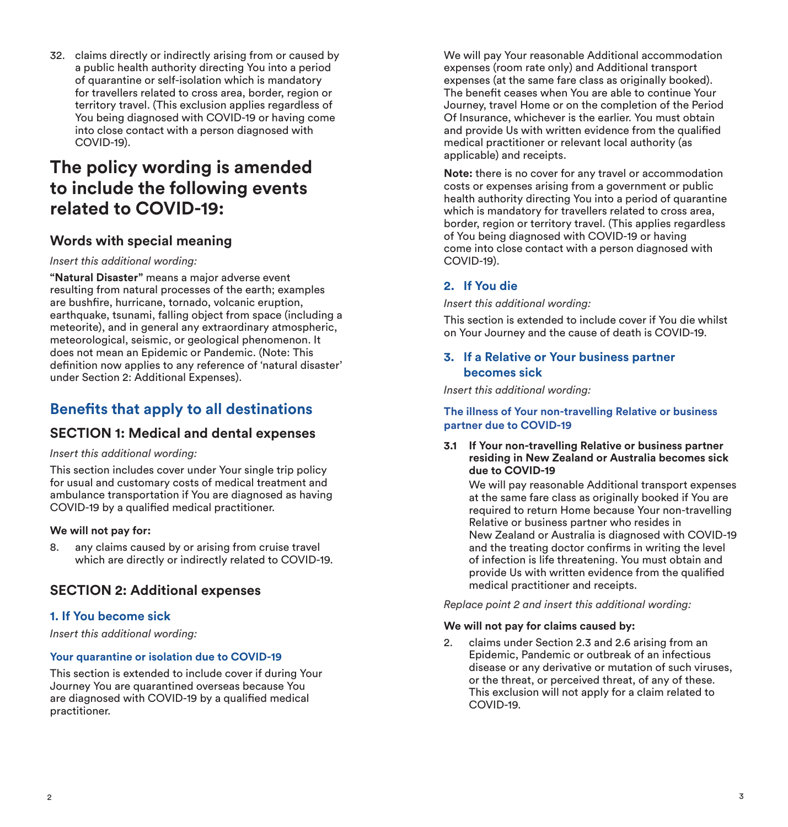32. claims directly or indirectly arising from or caused by a public health authority directing You into a period of quarantine or self-isolation which is mandatory for travellers related to cross area, border, region or territory travel. (This exclusion applies regardless of You being diagnosed with COVID-19 or having come into close contact with a person diagnosed with COVID-19).

# **The policy wording is amended to include the following events related to COVID-19:**

#### **Words with special meaning**

#### *Insert this additional wording:*

**"Natural Disaster"** means a major adverse event resulting from natural processes of the earth; examples are bushfire, hurricane, tornado, volcanic eruption, earthquake, tsunami, falling object from space (including a meteorite), and in general any extraordinary atmospheric, meteorological, seismic, or geological phenomenon. It does not mean an Epidemic or Pandemic. (Note: This definition now applies to any reference of 'natural disaster' under Section 2: Additional Expenses).

# **Benefits that apply to all destinations**

#### **SECTION 1: Medical and dental expenses**

#### *Insert this additional wording:*

This section includes cover under Your single trip policy for usual and customary costs of medical treatment and ambulance transportation if You are diagnosed as having COVID-19 by a qualified medical practitioner.

#### **We will not pay for:**

8. any claims caused by or arising from cruise travel which are directly or indirectly related to COVID-19.

#### **SECTION 2: Additional expenses**

#### **1. If You become sick**

*Insert this additional wording:*

#### **Your quarantine or isolation due to COVID-19**

This section is extended to include cover if during Your Journey You are quarantined overseas because You are diagnosed with COVID-19 by a qualified medical practitioner.

We will pay Your reasonable Additional accommodation expenses (room rate only) and Additional transport expenses (at the same fare class as originally booked). The benefit ceases when You are able to continue Your Journey, travel Home or on the completion of the Period Of Insurance, whichever is the earlier. You must obtain and provide Us with written evidence from the qualified medical practitioner or relevant local authority (as applicable) and receipts.

**Note:** there is no cover for any travel or accommodation costs or expenses arising from a government or public health authority directing You into a period of quarantine which is mandatory for travellers related to cross area, border, region or territory travel. (This applies regardless of You being diagnosed with COVID-19 or having come into close contact with a person diagnosed with COVID-19).

#### **2. If You die**

#### *Insert this additional wording:*

This section is extended to include cover if You die whilst on Your Journey and the cause of death is COVID-19.

#### **3. If a Relative or Your business partner becomes sick**

*Insert this additional wording:*

#### **The illness of Your non-travelling Relative or business partner due to COVID-19**

#### **3.1 If Your non-travelling Relative or business partner residing in New Zealand or Australia becomes sick due to COVID-19**

We will pay reasonable Additional transport expenses at the same fare class as originally booked if You are required to return Home because Your non-travelling Relative or business partner who resides in New Zealand or Australia is diagnosed with COVID-19 and the treating doctor confirms in writing the level of infection is life threatening. You must obtain and provide Us with written evidence from the qualified medical practitioner and receipts.

#### *Replace point 2 and insert this additional wording:*

#### **We will not pay for claims caused by:**

2. claims under Section 2.3 and 2.6 arising from an Epidemic, Pandemic or outbreak of an infectious disease or any derivative or mutation of such viruses, or the threat, or perceived threat, of any of these. This exclusion will not apply for a claim related to COVID-19.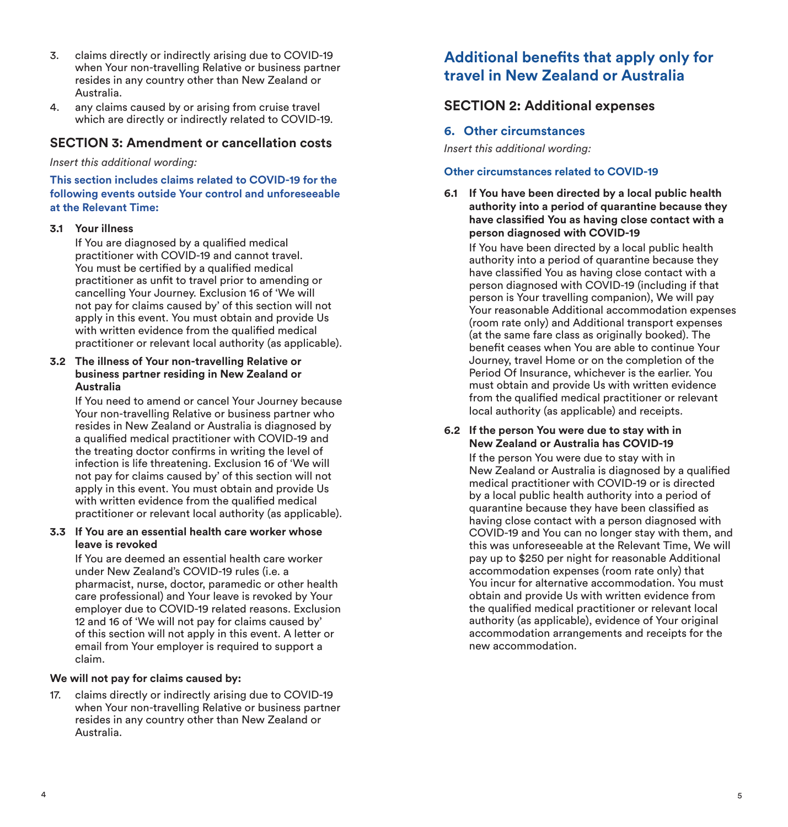- 3. claims directly or indirectly arising due to COVID-19 when Your non-travelling Relative or business partner resides in any country other than New Zealand or Australia.
- 4. any claims caused by or arising from cruise travel which are directly or indirectly related to COVID-19.

#### **SECTION 3: Amendment or cancellation costs**

*Insert this additional wording:*

**This section includes claims related to COVID-19 for the following events outside Your control and unforeseeable at the Relevant Time:**

#### **3.1 Your illness**

If You are diagnosed by a qualified medical practitioner with COVID-19 and cannot travel. You must be certified by a qualified medical practitioner as unfit to travel prior to amending or cancelling Your Journey. Exclusion 16 of 'We will not pay for claims caused by' of this section will not apply in this event. You must obtain and provide Us with written evidence from the qualified medical practitioner or relevant local authority (as applicable).

#### **3.2 The illness of Your non-travelling Relative or business partner residing in New Zealand or Australia**

If You need to amend or cancel Your Journey because Your non-travelling Relative or business partner who resides in New Zealand or Australia is diagnosed by a qualified medical practitioner with COVID-19 and the treating doctor confirms in writing the level of infection is life threatening. Exclusion 16 of 'We will not pay for claims caused by' of this section will not apply in this event. You must obtain and provide Us with written evidence from the qualified medical practitioner or relevant local authority (as applicable).

#### **3.3 If You are an essential health care worker whose leave is revoked**

If You are deemed an essential health care worker under New Zealand's COVID-19 rules (i.e. a pharmacist, nurse, doctor, paramedic or other health care professional) and Your leave is revoked by Your employer due to COVID-19 related reasons. Exclusion 12 and 16 of 'We will not pay for claims caused by' of this section will not apply in this event. A letter or email from Your employer is required to support a claim.

#### **We will not pay for claims caused by:**

17. claims directly or indirectly arising due to COVID-19 when Your non-travelling Relative or business partner resides in any country other than New Zealand or Australia.

### **Additional benefits that apply only for travel in New Zealand or Australia**

#### **SECTION 2: Additional expenses**

#### **6. Other circumstances**

*Insert this additional wording:*

#### **Other circumstances related to COVID-19**

**6.1 If You have been directed by a local public health authority into a period of quarantine because they have classified You as having close contact with a person diagnosed with COVID-19**

If You have been directed by a local public health authority into a period of quarantine because they have classified You as having close contact with a person diagnosed with COVID-19 (including if that person is Your travelling companion), We will pay Your reasonable Additional accommodation expenses (room rate only) and Additional transport expenses (at the same fare class as originally booked). The benefit ceases when You are able to continue Your Journey, travel Home or on the completion of the Period Of Insurance, whichever is the earlier. You must obtain and provide Us with written evidence from the qualified medical practitioner or relevant local authority (as applicable) and receipts.

#### **6.2 If the person You were due to stay with in New Zealand or Australia has COVID-19**

If the person You were due to stay with in New Zealand or Australia is diagnosed by a qualified medical practitioner with COVID-19 or is directed by a local public health authority into a period of quarantine because they have been classified as having close contact with a person diagnosed with COVID-19 and You can no longer stay with them, and this was unforeseeable at the Relevant Time, We will pay up to \$250 per night for reasonable Additional accommodation expenses (room rate only) that You incur for alternative accommodation. You must obtain and provide Us with written evidence from the qualified medical practitioner or relevant local authority (as applicable), evidence of Your original accommodation arrangements and receipts for the new accommodation.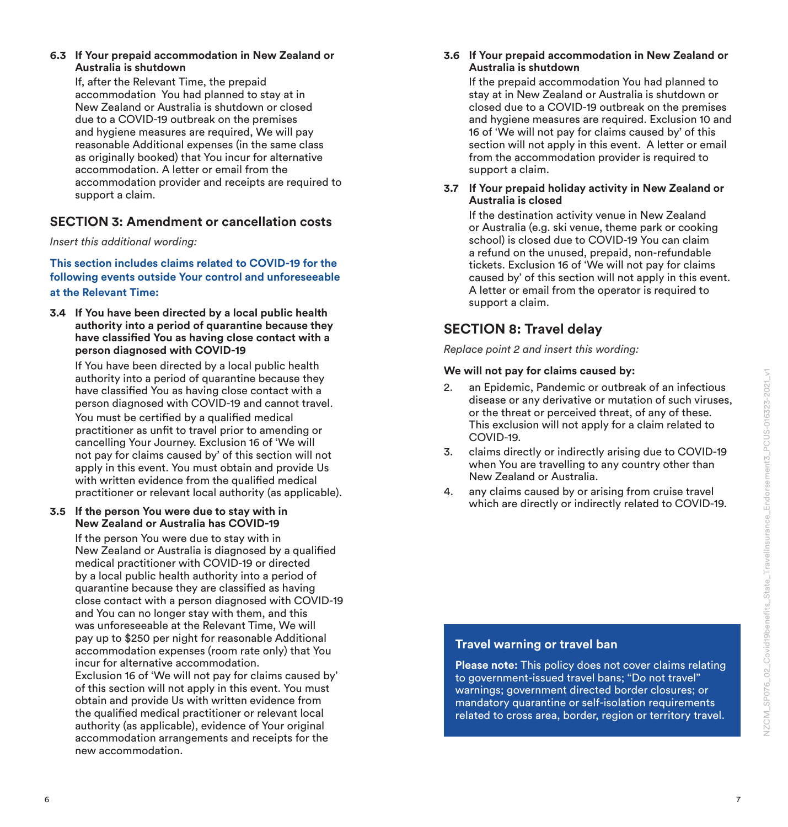#### **6.3 If Your prepaid accommodation in New Zealand or Australia is shutdown**

If, after the Relevant Time, the prepaid accommodation You had planned to stay at in New Zealand or Australia is shutdown or closed due to a COVID-19 outbreak on the premises and hygiene measures are required, We will pay reasonable Additional expenses (in the same class as originally booked) that You incur for alternative accommodation. A letter or email from the accommodation provider and receipts are required to support a claim.

#### **SECTION 3: Amendment or cancellation costs**

*Insert this additional wording:*

**This section includes claims related to COVID-19 for the following events outside Your control and unforeseeable at the Relevant Time:**

**3.4 If You have been directed by a local public health authority into a period of quarantine because they have classified You as having close contact with a person diagnosed with COVID-19**

If You have been directed by a local public health authority into a period of quarantine because they have classified You as having close contact with a person diagnosed with COVID-19 and cannot travel. You must be certified by a qualified medical practitioner as unfit to travel prior to amending or cancelling Your Journey. Exclusion 16 of 'We will not pay for claims caused by' of this section will not apply in this event. You must obtain and provide Us with written evidence from the qualified medical practitioner or relevant local authority (as applicable).

#### **3.5 If the person You were due to stay with in New Zealand or Australia has COVID-19**

If the person You were due to stay with in New Zealand or Australia is diagnosed by a qualified medical practitioner with COVID-19 or directed by a local public health authority into a period of quarantine because they are classified as having close contact with a person diagnosed with COVID-19 and You can no longer stay with them, and this was unforeseeable at the Relevant Time, We will pay up to \$250 per night for reasonable Additional accommodation expenses (room rate only) that You incur for alternative accommodation. Exclusion 16 of 'We will not pay for claims caused by' of this section will not apply in this event. You must obtain and provide Us with written evidence from the qualified medical practitioner or relevant local authority (as applicable), evidence of Your original accommodation arrangements and receipts for the new accommodation.

#### **3.6 If Your prepaid accommodation in New Zealand or Australia is shutdown**

If the prepaid accommodation You had planned to stay at in New Zealand or Australia is shutdown or closed due to a COVID-19 outbreak on the premises and hygiene measures are required. Exclusion 10 and 16 of 'We will not pay for claims caused by' of this section will not apply in this event. A letter or email from the accommodation provider is required to support a claim.

#### **3.7 If Your prepaid holiday activity in New Zealand or Australia is closed**

If the destination activity venue in New Zealand or Australia (e.g. ski venue, theme park or cooking school) is closed due to COVID-19 You can claim a refund on the unused, prepaid, non-refundable tickets. Exclusion 16 of 'We will not pay for claims caused by' of this section will not apply in this event. A letter or email from the operator is required to support a claim.

### **SECTION 8: Travel delay**

*Replace point 2 and insert this wording:*

#### **We will not pay for claims caused by:**

- 2. an Epidemic, Pandemic or outbreak of an infectious disease or any derivative or mutation of such viruses, or the threat or perceived threat, of any of these. This exclusion will not apply for a claim related to COVID-19.
- 3. claims directly or indirectly arising due to COVID-19 when You are travelling to any country other than New Zealand or Australia.
- 4. any claims caused by or arising from cruise travel which are directly or indirectly related to COVID-19.

### **Travel warning or travel ban**

**Please note:** This policy does not cover claims relating to government-issued travel bans; "Do not travel" warnings; government directed border closures; or mandatory quarantine or self-isolation requirements related to cross area, border, region or territory travel.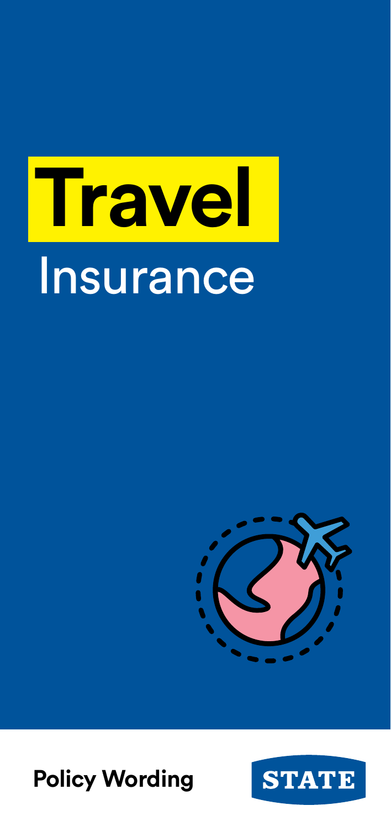# **Travel Insurance**





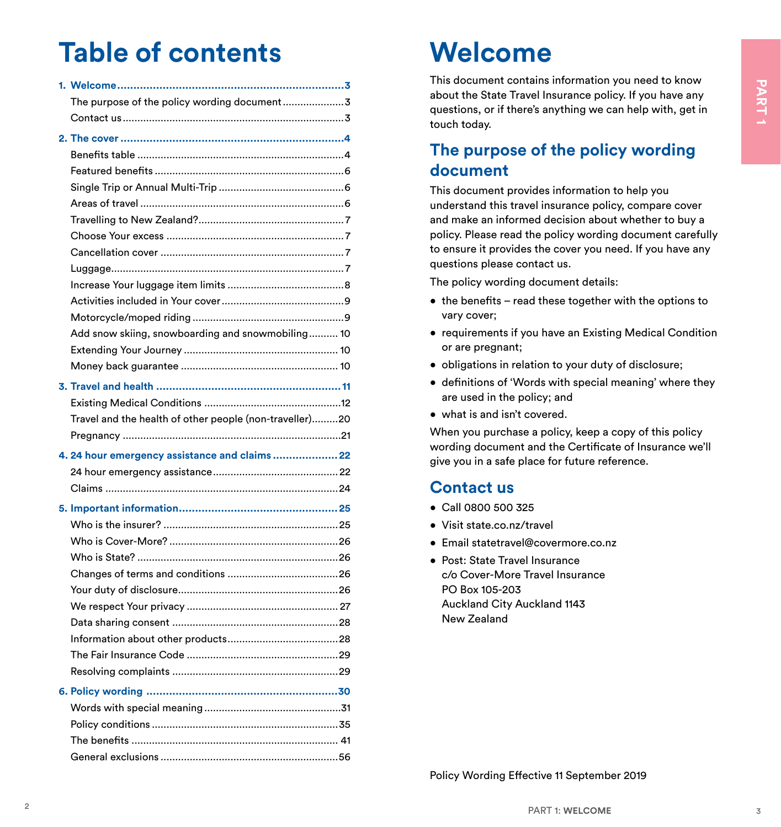# **Table of contents**

| The purpose of the policy wording document3             |  |
|---------------------------------------------------------|--|
|                                                         |  |
|                                                         |  |
|                                                         |  |
|                                                         |  |
|                                                         |  |
|                                                         |  |
|                                                         |  |
|                                                         |  |
|                                                         |  |
|                                                         |  |
|                                                         |  |
|                                                         |  |
|                                                         |  |
| Add snow skiing, snowboarding and snowmobiling 10       |  |
|                                                         |  |
|                                                         |  |
|                                                         |  |
|                                                         |  |
|                                                         |  |
| Travel and the health of other people (non-traveller)20 |  |
|                                                         |  |
|                                                         |  |
| 4. 24 hour emergency assistance and claims  22          |  |
|                                                         |  |
|                                                         |  |
|                                                         |  |
|                                                         |  |
|                                                         |  |
|                                                         |  |
|                                                         |  |
|                                                         |  |
|                                                         |  |
|                                                         |  |
|                                                         |  |
|                                                         |  |
|                                                         |  |
|                                                         |  |
|                                                         |  |
|                                                         |  |
|                                                         |  |
|                                                         |  |

# Welcome

This document contains information you need to know about the State Travel Insurance policy. If you have any questions, or if there's anything we can help with, get in touch today.

# The purpose of the policy wording document

This document provides information to help you understand this travel insurance policy, compare cover and make an informed decision about whether to buy a policy. Please read the policy wording document carefully to ensure it provides the cover you need. If you have any questions please contact us.

The policy wording document details:

- the benefits read these together with the options to vary cover:
- requirements if you have an Existing Medical Condition or are pregnant;
- obligations in relation to your duty of disclosure;
- definitions of 'Words with special meaning' where they are used in the policy; and
- what is and isn't covered.

When you purchase a policy, keep a copy of this policy wording document and the Certificate of Insurance we'll give you in a safe place for future reference.

# **Contactus**

- $\bullet$  Call 0800 500 325
- · Visit state.co.nz/travel
- $\bullet$  Email statetravel@covermore.co.nz
- · Post: State Travel Insurance c/o Cover-More Travel Insurance PO Box 105-203 Auckland City Auckland 1143 New Zealand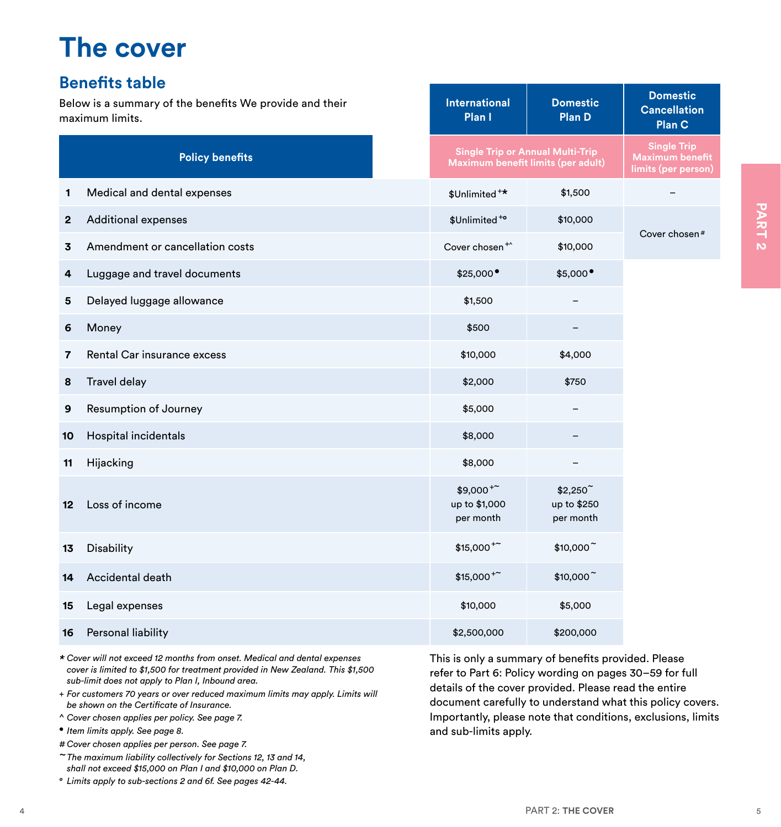# <span id="page-6-0"></span>**The cover**

# **Benefits table**

Below is a summary of the benefits We provide and their maximum limits.

|         |                                                                                                                                                                                                                                                                                                                                                                                                                                                                                                                                                                                                                                                                                         |                                                                                                                                                                                                  |                                         | <b>Plan C</b>                                                                                                             |
|---------|-----------------------------------------------------------------------------------------------------------------------------------------------------------------------------------------------------------------------------------------------------------------------------------------------------------------------------------------------------------------------------------------------------------------------------------------------------------------------------------------------------------------------------------------------------------------------------------------------------------------------------------------------------------------------------------------|--------------------------------------------------------------------------------------------------------------------------------------------------------------------------------------------------|-----------------------------------------|---------------------------------------------------------------------------------------------------------------------------|
|         | <b>Policy benefits</b>                                                                                                                                                                                                                                                                                                                                                                                                                                                                                                                                                                                                                                                                  | Maximum benefit limits (per adult)                                                                                                                                                               | <b>Single Trip or Annual Multi-Trip</b> | <b>Single Trip</b><br><b>Maximum benefit</b><br>limits (per person)                                                       |
| 1       | Medical and dental expenses                                                                                                                                                                                                                                                                                                                                                                                                                                                                                                                                                                                                                                                             | \$Unlimited <sup>+*</sup>                                                                                                                                                                        | \$1,500                                 |                                                                                                                           |
| 2       | <b>Additional expenses</b>                                                                                                                                                                                                                                                                                                                                                                                                                                                                                                                                                                                                                                                              | \$Unlimited <sup>+o</sup>                                                                                                                                                                        | \$10,000                                |                                                                                                                           |
| 3       | Amendment or cancellation costs                                                                                                                                                                                                                                                                                                                                                                                                                                                                                                                                                                                                                                                         | Cover chosen <sup>+^</sup>                                                                                                                                                                       | \$10,000                                | Cover chosen#                                                                                                             |
| 4       | Luggage and travel documents                                                                                                                                                                                                                                                                                                                                                                                                                                                                                                                                                                                                                                                            | \$25,000                                                                                                                                                                                         | \$5,000                                 |                                                                                                                           |
| 5       | Delayed luggage allowance                                                                                                                                                                                                                                                                                                                                                                                                                                                                                                                                                                                                                                                               | \$1,500                                                                                                                                                                                          |                                         |                                                                                                                           |
| 6       | Money                                                                                                                                                                                                                                                                                                                                                                                                                                                                                                                                                                                                                                                                                   | \$500                                                                                                                                                                                            |                                         |                                                                                                                           |
| 7       | Rental Car insurance excess                                                                                                                                                                                                                                                                                                                                                                                                                                                                                                                                                                                                                                                             | \$10,000                                                                                                                                                                                         | \$4,000                                 |                                                                                                                           |
| 8       | <b>Travel delay</b>                                                                                                                                                                                                                                                                                                                                                                                                                                                                                                                                                                                                                                                                     | \$2,000                                                                                                                                                                                          | \$750                                   |                                                                                                                           |
| 9       | Resumption of Journey                                                                                                                                                                                                                                                                                                                                                                                                                                                                                                                                                                                                                                                                   | \$5,000                                                                                                                                                                                          |                                         |                                                                                                                           |
| 10      | Hospital incidentals                                                                                                                                                                                                                                                                                                                                                                                                                                                                                                                                                                                                                                                                    | \$8,000                                                                                                                                                                                          |                                         |                                                                                                                           |
| 11      | Hijacking                                                                                                                                                                                                                                                                                                                                                                                                                                                                                                                                                                                                                                                                               | \$8,000                                                                                                                                                                                          |                                         |                                                                                                                           |
| $12 \,$ | Loss of income                                                                                                                                                                                                                                                                                                                                                                                                                                                                                                                                                                                                                                                                          | $$9,000^{+}$<br>up to \$1,000<br>per month                                                                                                                                                       | \$2,250<br>up to \$250<br>per month     |                                                                                                                           |
| 13      | Disability                                                                                                                                                                                                                                                                                                                                                                                                                                                                                                                                                                                                                                                                              | $$15,000^{+}$                                                                                                                                                                                    | \$10,000                                |                                                                                                                           |
| 14      | Accidental death                                                                                                                                                                                                                                                                                                                                                                                                                                                                                                                                                                                                                                                                        | $$15,000^{+}$                                                                                                                                                                                    | \$10,000                                |                                                                                                                           |
| 15      | Legal expenses                                                                                                                                                                                                                                                                                                                                                                                                                                                                                                                                                                                                                                                                          | \$10,000                                                                                                                                                                                         | \$5,000                                 |                                                                                                                           |
| 16      | Personal liability                                                                                                                                                                                                                                                                                                                                                                                                                                                                                                                                                                                                                                                                      | \$2,500,000                                                                                                                                                                                      | \$200,000                               |                                                                                                                           |
|         | * Cover will not exceed 12 months from onset. Medical and dental expenses<br>cover is limited to \$1,500 for treatment provided in New Zealand. This \$1,500<br>sub-limit does not apply to Plan I, Inbound area.<br>+ For customers 70 years or over reduced maximum limits may apply. Limits will<br>be shown on the Certificate of Insurance.<br>^ Cover chosen applies per policy. See page 7.<br>• Item limits apply. See page 8.<br># Cover chosen applies per person. See page 7.<br>~The maximum liability collectively for Sections 12, 13 and 14,<br>shall not exceed \$15,000 on Plan I and \$10,000 on Plan D.<br>° Limits apply to sub-sections 2 and 6f. See pages 42-44. | This is only a summary of benefits provided. Please<br>refer to Part 6: Policy wording on pages 30-59 for full<br>details of the cover provided. Please read the entire<br>and sub-limits apply. |                                         | document carefully to understand what this policy covers.<br>Importantly, please note that conditions, exclusions, limits |
|         |                                                                                                                                                                                                                                                                                                                                                                                                                                                                                                                                                                                                                                                                                         |                                                                                                                                                                                                  |                                         |                                                                                                                           |
|         |                                                                                                                                                                                                                                                                                                                                                                                                                                                                                                                                                                                                                                                                                         |                                                                                                                                                                                                  | PART 2: THE COVER                       |                                                                                                                           |

**International Plan I**

**Domestic Plan D**

**Domestic Cancellation**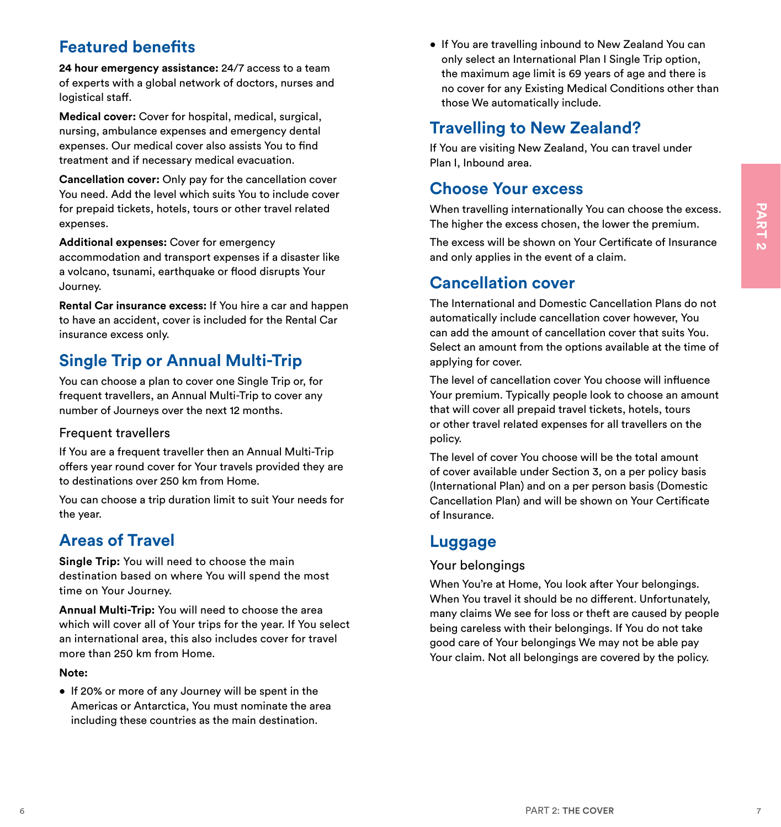# <span id="page-7-0"></span>**Featured benefits**

**24 hour emergency assistance:** 24/7 access to a team of experts with a global network of doctors, nurses and logistical staff.

**Medical cover:** Cover for hospital, medical, surgical, nursing, ambulance expenses and emergency dental expenses. Our medical cover also assists You to find treatment and if necessary medical evacuation.

**Cancellation cover:** Only pay for the cancellation cover You need. Add the level which suits You to include cover for prepaid tickets, hotels, tours or other travel related expenses.

**Additional expenses:** Cover for emergency accommodation and transport expenses if a disaster like a volcano, tsunami, earthquake or flood disrupts Your Journey.

**Rental Car insurance excess:** If You hire a car and happen to have an accident, cover is included for the Rental Car insurance excess only.

# **Single Trip or Annual Multi-Trip**

You can choose a plan to cover one Single Trip or, for frequent travellers, an Annual Multi-Trip to cover any number of Journeys over the next 12 months.

### Frequent travellers

If You are a frequent traveller then an Annual Multi-Trip offers year round cover for Your travels provided they are to destinations over 250 km from Home.

You can choose a trip duration limit to suit Your needs for the year.

# **Areas of Travel**

**Single Trip:** You will need to choose the main destination based on where You will spend the most time on Your Journey.

**Annual Multi-Trip:** You will need to choose the area which will cover all of Your trips for the year. If You select an international area, this also includes cover for travel more than 250 km from Home.

#### **Note:**

• If 20% or more of any Journey will be spent in the Americas or Antarctica, You must nominate the area including these countries as the main destination.

• If You are travelling inbound to New Zealand You can only select an International Plan I Single Trip option, the maximum age limit is 69 years of age and there is no cover for any Existing Medical Conditions other than those We automatically include.

# **Travelling to New Zealand?**

If You are visiting New Zealand, You can travel under Plan I, Inbound area.

# **Choose Your excess**

When travelling internationally You can choose the excess. The higher the excess chosen, the lower the premium.

The excess will be shown on Your Certificate of Insurance and only applies in the event of a claim.

# **Cancellation cover**

The International and Domestic Cancellation Plans do not automatically include cancellation cover however, You can add the amount of cancellation cover that suits You. Select an amount from the options available at the time of applying for cover.

The level of cancellation cover You choose will influence Your premium. Typically people look to choose an amount that will cover all prepaid travel tickets, hotels, tours or other travel related expenses for all travellers on the policy.

The level of cover You choose will be the total amount of cover available under Section 3, on a per policy basis (International Plan) and on a per person basis (Domestic Cancellation Plan) and will be shown on Your Certificate of Insurance.

# **Luggage**

### Your belongings

for propial deleta, hotels, tours or other trevel related.<br>
And the second to the second the second to the second to the second to the second to the second to the second to the second to the second to the second to the sec When You're at Home, You look after Your belongings. When You travel it should be no different. Unfortunately, many claims We see for loss or theft are caused by people being careless with their belongings. If You do not take good care of Your belongings We may not be able pay Your claim. Not all belongings are covered by the policy.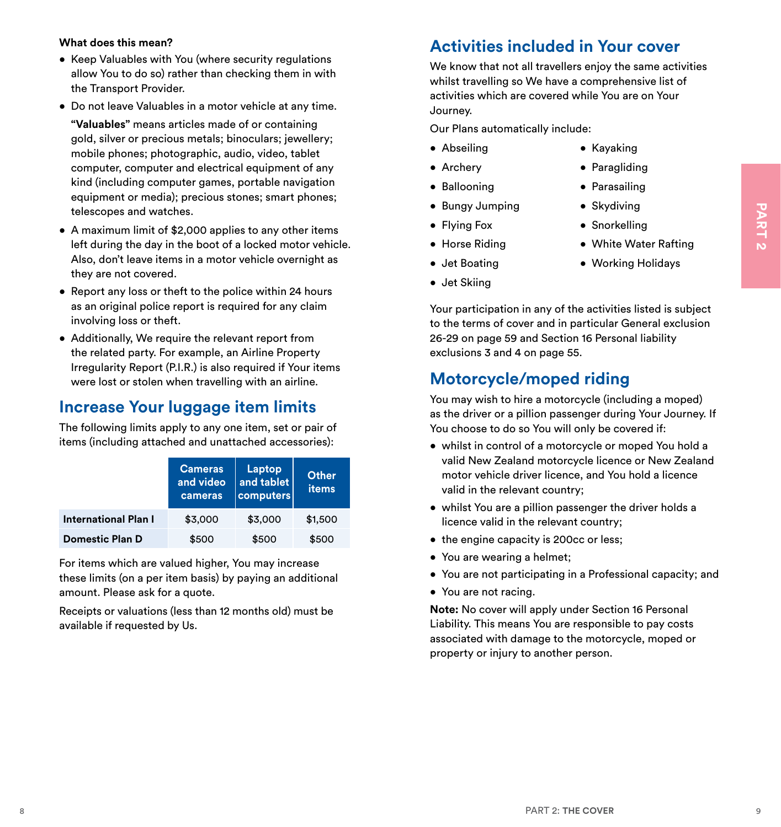#### <span id="page-8-0"></span>**What does this mean?**

- Keep Valuables with You (where security regulations allow You to do so) rather than checking them in with the Transport Provider.
- Do not leave Valuables in a motor vehicle at any time.

**"Valuables"** means articles made of or containing gold, silver or precious metals; binoculars; jewellery; mobile phones; photographic, audio, video, tablet computer, computer and electrical equipment of any kind (including computer games, portable navigation equipment or media); precious stones; smart phones; telescopes and watches.

- A maximum limit of \$2,000 applies to any other items left during the day in the boot of a locked motor vehicle. Also, don't leave items in a motor vehicle overnight as they are not covered.
- Report any loss or theft to the police within 24 hours as an original police report is required for any claim involving loss or theft.
- Additionally, We require the relevant report from the related party. For example, an Airline Property Irregularity Report (P.I.R.) is also required if Your items were lost or stolen when travelling with an airline.

# **Increase Your luggage item limits**

|                                                                                                                                                                                                                                                                                                                                                                                     | telescopes and watches.     |                      |                | $\bullet$ Bungy Jumping                                                                                                                                                                                                                              | $\bullet$ Skydiving                                                                                                                                                    |  |
|-------------------------------------------------------------------------------------------------------------------------------------------------------------------------------------------------------------------------------------------------------------------------------------------------------------------------------------------------------------------------------------|-----------------------------|----------------------|----------------|------------------------------------------------------------------------------------------------------------------------------------------------------------------------------------------------------------------------------------------------------|------------------------------------------------------------------------------------------------------------------------------------------------------------------------|--|
| • A maximum limit of \$2,000 applies to any other items<br>left during the day in the boot of a locked motor vehicle.<br>Also, don't leave items in a motor vehicle overnight as                                                                                                                                                                                                    |                             |                      |                | $\bullet$ Flying Fox                                                                                                                                                                                                                                 | • Snorkelling                                                                                                                                                          |  |
|                                                                                                                                                                                                                                                                                                                                                                                     |                             |                      |                | • Horse Riding                                                                                                                                                                                                                                       | • White Water Rafting                                                                                                                                                  |  |
|                                                                                                                                                                                                                                                                                                                                                                                     |                             |                      |                | • Jet Boating                                                                                                                                                                                                                                        | • Working Holidays                                                                                                                                                     |  |
| they are not covered.                                                                                                                                                                                                                                                                                                                                                               |                             |                      |                | • Jet Skiing                                                                                                                                                                                                                                         |                                                                                                                                                                        |  |
| • Report any loss or theft to the police within 24 hours<br>as an original police report is required for any claim<br>involving loss or theft.<br>• Additionally, We require the relevant report from<br>the related party. For example, an Airline Property<br>Irregularity Report (P.I.R.) is also required if Your items<br>were lost or stolen when travelling with an airline. |                             |                      |                | Your participation in any of the activities listed is subject<br>to the terms of cover and in particular General exclusion<br>26-29 on page 59 and Section 16 Personal liability<br>exclusions 3 and 4 on page 55.<br><b>Motorcycle/moped riding</b> |                                                                                                                                                                        |  |
|                                                                                                                                                                                                                                                                                                                                                                                     |                             |                      |                |                                                                                                                                                                                                                                                      |                                                                                                                                                                        |  |
| <b>Increase Your luggage item limits</b><br>The following limits apply to any one item, set or pair of                                                                                                                                                                                                                                                                              |                             |                      |                | You choose to do so You will only be covered if:                                                                                                                                                                                                     | You may wish to hire a motorcycle (including a moped)<br>as the driver or a pillion passenger during Your Journey. If                                                  |  |
| items (including attached and unattached accessories):                                                                                                                                                                                                                                                                                                                              | <b>Cameras</b><br>and video | Laptop<br>and tablet | Other<br>items | valid in the relevant country;                                                                                                                                                                                                                       | · whilst in control of a motorcycle or moped You hold a<br>valid New Zealand motorcycle licence or New Zealand<br>motor vehicle driver licence, and You hold a licence |  |
| <b>International Plan I</b>                                                                                                                                                                                                                                                                                                                                                         | cameras<br>\$3,000          | computers<br>\$3,000 | \$1,500        | licence valid in the relevant country;                                                                                                                                                                                                               | • whilst You are a pillion passenger the driver holds a                                                                                                                |  |
| <b>Domestic Plan D</b>                                                                                                                                                                                                                                                                                                                                                              | \$500                       | \$500                | \$500          | • the engine capacity is 200cc or less;                                                                                                                                                                                                              |                                                                                                                                                                        |  |
| For items which are valued higher, You may increase                                                                                                                                                                                                                                                                                                                                 |                             |                      |                | • You are wearing a helmet;                                                                                                                                                                                                                          |                                                                                                                                                                        |  |
| these limits (on a per item basis) by paying an additional                                                                                                                                                                                                                                                                                                                          |                             |                      |                |                                                                                                                                                                                                                                                      | • You are not participating in a Professional capacity; and                                                                                                            |  |
|                                                                                                                                                                                                                                                                                                                                                                                     |                             |                      |                | • You are not racing.                                                                                                                                                                                                                                |                                                                                                                                                                        |  |
| amount. Please ask for a quote.<br>Receipts or valuations (less than 12 months old) must be<br>available if requested by Us.                                                                                                                                                                                                                                                        |                             |                      |                | property or injury to another person.                                                                                                                                                                                                                | Note: No cover will apply under Section 16 Personal<br>Liability. This means You are responsible to pay costs<br>associated with damage to the motorcycle, moped or    |  |

# **Activities included in Your cover**

We know that not all travellers enjoy the same activities whilst travelling so We have a comprehensive list of activities which are covered while You are on Your Journey.

Our Plans automatically include:

- Abseiling
- Kayaking • Paragliding

• Parasailing • Skydiving • Snorkelling

- Archery
- Ballooning
- Bungy Jumping
- Flying Fox
- Horse Riding
- Jet Boating
- Jet Skiing

# **Motorcycle/moped riding**

- whilst in control of a motorcycle or moped You hold a valid New Zealand motorcycle licence or New Zealand motor vehicle driver licence, and You hold a licence valid in the relevant country;
- whilst You are a pillion passenger the driver holds a licence valid in the relevant country;
- the engine capacity is 200cc or less;
- You are wearing a helmet;
- You are not participating in a Professional capacity; and
- You are not racing.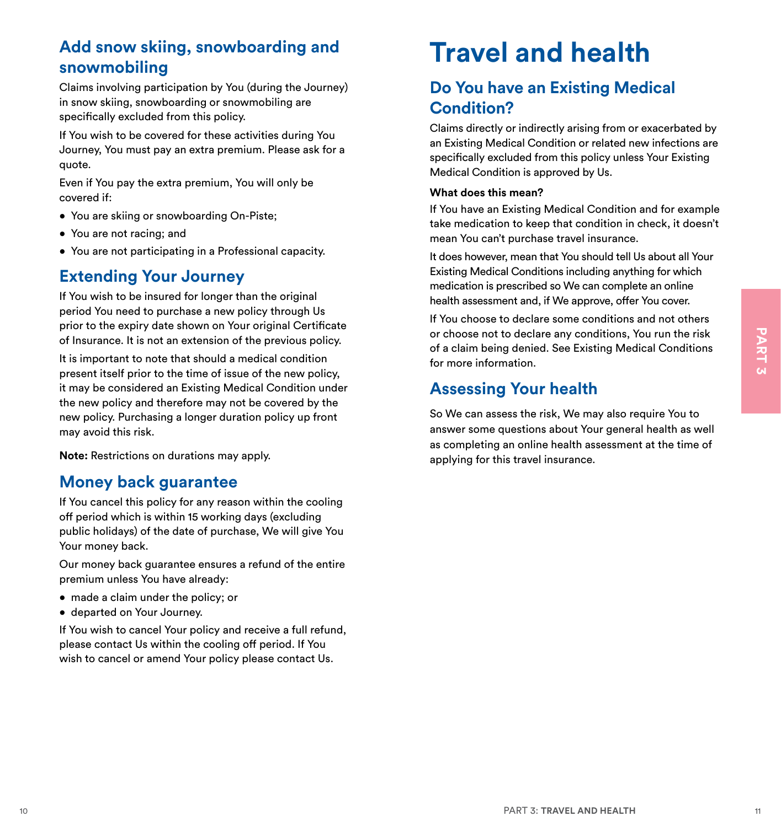# <span id="page-9-0"></span>**Add snow skiing, snowboarding and snowmobiling**

Claims involving participation by You (during the Journey) in snow skiing, snowboarding or snowmobiling are specifically excluded from this policy.

If You wish to be covered for these activities during You Journey, You must pay an extra premium. Please ask for a quote.

Even if You pay the extra premium, You will only be covered if:

- You are skiing or snowboarding On-Piste;
- You are not racing; and
- You are not participating in a Professional capacity.

# **Extending Your Journey**

If You wish to be insured for longer than the original period You need to purchase a new policy through Us prior to the expiry date shown on Your original Certificate of Insurance. It is not an extension of the previous policy.

of insurance, it is not an extension of the persion and the persion of colorino to declare any conditions,<br>
It is important to oto that the of sinus of the new policy<br>
present itself prior to the sinus of the new policy.<br> It is important to note that should a medical condition present itself prior to the time of issue of the new policy, it may be considered an Existing Medical Condition under the new policy and therefore may not be covered by the new policy. Purchasing a longer duration policy up front may avoid this risk.

**Note:** Restrictions on durations may apply.

# **Money back guarantee**

If You cancel this policy for any reason within the cooling off period which is within 15 working days (excluding public holidays) of the date of purchase, We will give You Your money back.

Our money back guarantee ensures a refund of the entire premium unless You have already:

- made a claim under the policy; or
- departed on Your Journey.

If You wish to cancel Your policy and receive a full refund, please contact Us within the cooling off period. If You wish to cancel or amend Your policy please contact Us.

# **Travel and health**

# **Do You have an Existing Medical Condition?**

Claims directly or indirectly arising from or exacerbated by an Existing Medical Condition or related new infections are specifically excluded from this policy unless Your Existing Medical Condition is approved by Us.

#### **What does this mean?**

If You have an Existing Medical Condition and for example take medication to keep that condition in check, it doesn't mean You can't purchase travel insurance.

It does however, mean that You should tell Us about all Your Existing Medical Conditions including anything for which medication is prescribed so We can complete an online health assessment and, if We approve, offer You cover.

If You choose to declare some conditions and not others or choose not to declare any conditions, You run the risk of a claim being denied. See Existing Medical Conditions for more information.

# **Assessing Your health**

So We can assess the risk, We may also require You to answer some questions about Your general health as well as completing an online health assessment at the time of applying for this travel insurance.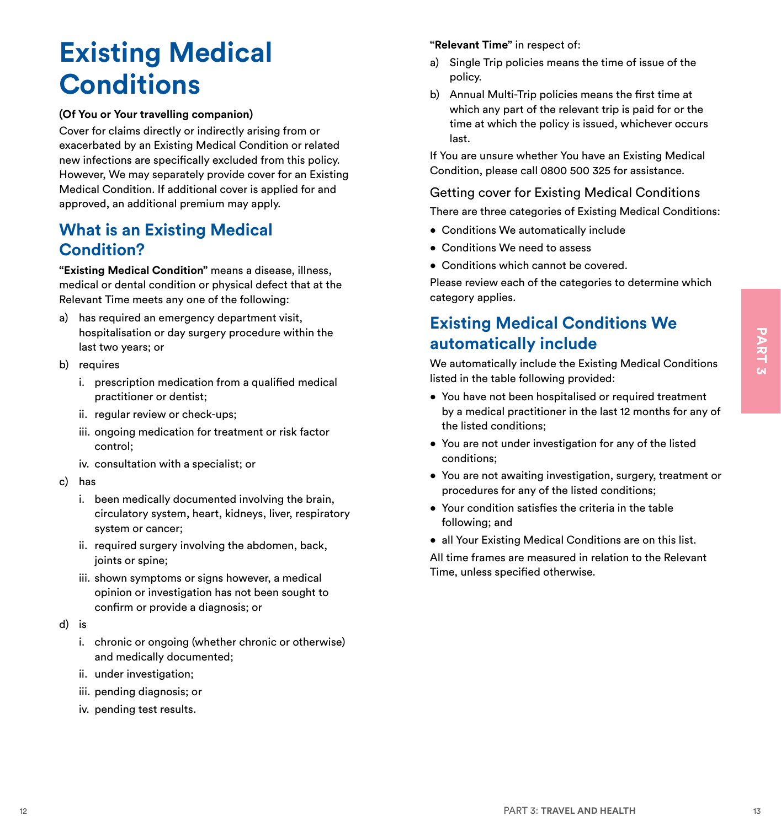# <span id="page-10-0"></span>**Existing Medical Conditions**

#### **(Of You or Your travelling companion)**

Cover for claims directly or indirectly arising from or exacerbated by an Existing Medical Condition or related new infections are specifically excluded from this policy. However, We may separately provide cover for an Existing Medical Condition. If additional cover is applied for and approved, an additional premium may apply.

# **What is an Existing Medical Condition?**

**"Existing Medical Condition"** means a disease, illness, medical or dental condition or physical defect that at the Relevant Time meets any one of the following:

- a) has required an emergency department visit, hospitalisation or day surgery procedure within the last two years; or
- b) requires
	- i. prescription medication from a qualified medical practitioner or dentist;
	- ii. regular review or check-ups;
	- iii. ongoing medication for treatment or risk factor control;
	- iv. consultation with a specialist; or
- c) has
	- i. been medically documented involving the brain, circulatory system, heart, kidneys, liver, respiratory system or cancer;
	- ii. required surgery involving the abdomen, back, joints or spine;
	- iii. shown symptoms or signs however, a medical opinion or investigation has not been sought to confirm or provide a diagnosis; or
- d) is
	- i. chronic or ongoing (whether chronic or otherwise) and medically documented;
	- ii. under investigation;
	- iii. pending diagnosis; or
	- iv. pending test results.

#### **"Relevant Time"** in respect of:

- a) Single Trip policies means the time of issue of the policy.
- b) Annual Multi-Trip policies means the first time at which any part of the relevant trip is paid for or the time at which the policy is issued, whichever occurs last.

If You are unsure whether You have an Existing Medical Condition, please call 0800 500 325 for assistance.

#### Getting cover for Existing Medical Conditions

There are three categories of Existing Medical Conditions:

- Conditions We automatically include
- Conditions We need to assess
- Conditions which cannot be covered.

Please review each of the categories to determine which category applies.

# **Existing Medical Conditions We automatically include**

We automatically include the Existing Medical Conditions listed in the table following provided:

- For priori and medicine or of *priori and medicine in the complete in the complete and medicine in the state of the state of the complete and the state of reductions in the state of the state of the state of the state of* • You have not been hospitalised or required treatment by a medical practitioner in the last 12 months for any of the listed conditions;
	- You are not under investigation for any of the listed conditions;
	- You are not awaiting investigation, surgery, treatment or procedures for any of the listed conditions;
	- Your condition satisfies the criteria in the table following; and
	- all Your Existing Medical Conditions are on this list.

All time frames are measured in relation to the Relevant Time, unless specified otherwise.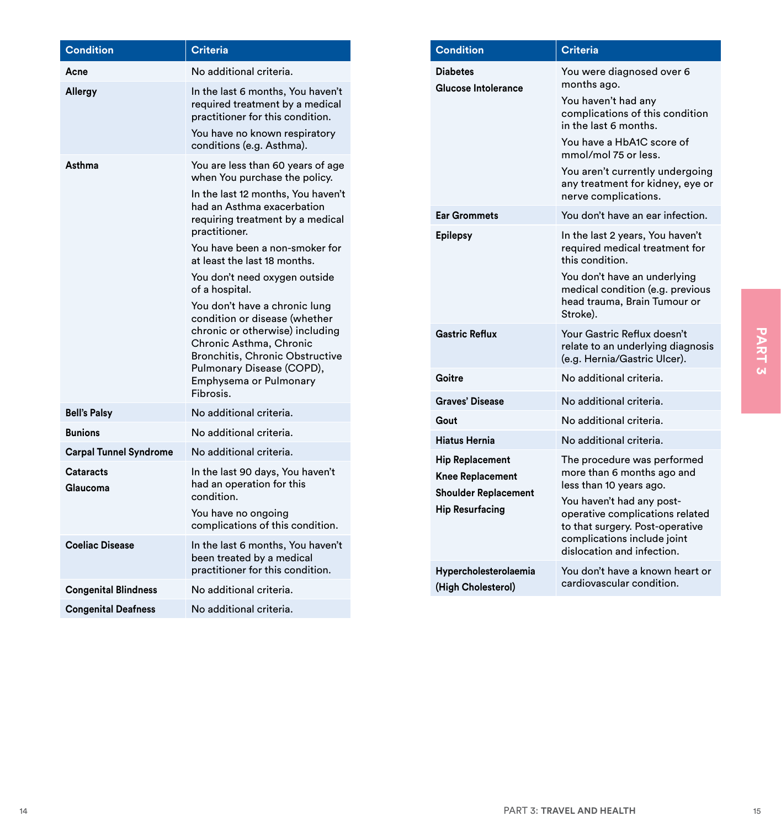|                                                           | <b>Criteria</b>                                                                                          | <b>Condition</b>                                | <b>Criteria</b>                                                                                  |
|-----------------------------------------------------------|----------------------------------------------------------------------------------------------------------|-------------------------------------------------|--------------------------------------------------------------------------------------------------|
| Acne                                                      | No additional criteria.                                                                                  | <b>Diabetes</b>                                 | You were diagnosed over 6                                                                        |
| Allergy                                                   | In the last 6 months, You haven't<br>required treatment by a medical<br>practitioner for this condition. | Glucose Intolerance                             | months ago.<br>You haven't had any<br>complications of this condition                            |
|                                                           | You have no known respiratory<br>conditions (e.g. Asthma).                                               |                                                 | in the last 6 months.<br>You have a HbA1C score of<br>mmol/mol 75 or less.                       |
| Asthma                                                    | You are less than 60 years of age<br>when You purchase the policy.                                       |                                                 | You aren't currently undergoing<br>any treatment for kidney, eye or                              |
|                                                           | In the last 12 months, You haven't<br>had an Asthma exacerbation                                         |                                                 | nerve complications.                                                                             |
|                                                           | requiring treatment by a medical<br>practitioner.                                                        | <b>Ear Grommets</b>                             | You don't have an ear infection.                                                                 |
|                                                           | You have been a non-smoker for<br>at least the last 18 months.                                           | <b>Epilepsy</b>                                 | In the last 2 years, You haven't<br>required medical treatment for<br>this condition.            |
|                                                           | You don't need oxygen outside<br>of a hospital.                                                          |                                                 | You don't have an underlying<br>medical condition (e.g. previous                                 |
|                                                           | You don't have a chronic lung<br>condition or disease (whether                                           |                                                 | head trauma, Brain Tumour or<br>Stroke).                                                         |
|                                                           | chronic or otherwise) including<br>Chronic Asthma, Chronic<br>Bronchitis, Chronic Obstructive            | <b>Gastric Reflux</b>                           | Your Gastric Reflux doesn't<br>relate to an underlying diagnosis<br>(e.g. Hernia/Gastric Ulcer). |
|                                                           | Pulmonary Disease (COPD),<br>Emphysema or Pulmonary                                                      | Goitre                                          | No additional criteria.                                                                          |
|                                                           | Fibrosis.                                                                                                | <b>Graves' Disease</b>                          | No additional criteria.                                                                          |
| <b>Bell's Palsy</b>                                       | No additional criteria.                                                                                  | Gout                                            | No additional criteria.                                                                          |
| <b>Bunions</b>                                            | No additional criteria.                                                                                  | <b>Hiatus Hernia</b>                            | No additional criteria.                                                                          |
| <b>Carpal Tunnel Syndrome</b>                             | No additional criteria.                                                                                  | <b>Hip Replacement</b>                          | The procedure was performed                                                                      |
| Cataracts<br>Glaucoma                                     | In the last 90 days, You haven't<br>had an operation for this                                            | Knee Replacement<br><b>Shoulder Replacement</b> | more than 6 months ago and<br>less than 10 years ago.                                            |
|                                                           | condition.<br>You have no ongoing<br>complications of this condition.                                    | <b>Hip Resurfacing</b>                          | You haven't had any post-<br>operative complications related<br>to that surgery. Post-operative  |
| <b>Coeliac Disease</b>                                    | In the last 6 months, You haven't<br>been treated by a medical                                           |                                                 | complications include joint<br>dislocation and infection.                                        |
|                                                           | practitioner for this condition.                                                                         | Hypercholesterolaemia                           | You don't have a known heart or                                                                  |
|                                                           | No additional criteria.                                                                                  |                                                 |                                                                                                  |
| <b>Congenital Blindness</b><br><b>Congenital Deafness</b> | No additional criteria.                                                                                  | (High Cholesterol)                              | cardiovascular condition.                                                                        |

| <b>Condition</b>                                                                                           | <b>Criteria</b>                                                                                                                                                                                                                                                                 |
|------------------------------------------------------------------------------------------------------------|---------------------------------------------------------------------------------------------------------------------------------------------------------------------------------------------------------------------------------------------------------------------------------|
| <b>Diabetes</b><br>Glucose Intolerance                                                                     | You were diagnosed over 6<br>months ago.<br>You haven't had any<br>complications of this condition<br>in the last 6 months.<br>You have a HbA1C score of<br>mmol/mol 75 or less.<br>You aren't currently undergoing<br>any treatment for kidney, eye or<br>nerve complications. |
| <b>Ear Grommets</b>                                                                                        | You don't have an ear infection.                                                                                                                                                                                                                                                |
| <b>Epilepsy</b>                                                                                            | In the last 2 years, You haven't<br>required medical treatment for<br>this condition.<br>You don't have an underlying<br>medical condition (e.g. previous<br>head trauma, Brain Tumour or<br>Stroke).                                                                           |
| <b>Gastric Reflux</b>                                                                                      | Your Gastric Reflux doesn't<br>relate to an underlying diagnosis<br>(e.g. Hernia/Gastric Ulcer).                                                                                                                                                                                |
| Goitre                                                                                                     | No additional criteria.                                                                                                                                                                                                                                                         |
| Graves' Disease                                                                                            | No additional criteria.                                                                                                                                                                                                                                                         |
| Gout                                                                                                       | No additional criteria.                                                                                                                                                                                                                                                         |
| <b>Hiatus Hernia</b>                                                                                       | No additional criteria.                                                                                                                                                                                                                                                         |
| <b>Hip Replacement</b><br><b>Knee Replacement</b><br><b>Shoulder Replacement</b><br><b>Hip Resurfacing</b> | The procedure was performed<br>more than 6 months ago and<br>less than 10 years ago.<br>You haven't had any post-<br>operative complications related<br>to that surgery. Post-operative<br>complications include joint<br>dislocation and infection.                            |
| Hypercholesterolaemia<br>(High Cholesterol)                                                                | You don't have a known heart or<br>cardiovascular condition.                                                                                                                                                                                                                    |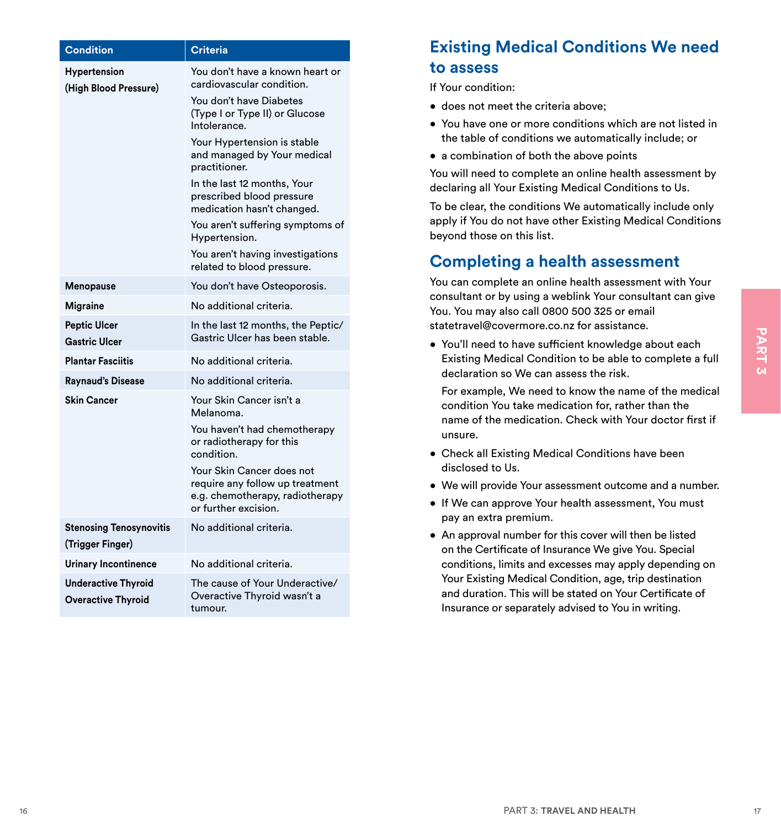<span id="page-12-0"></span>

| <b>Condition</b>                                            | <b>Criteria</b>                                                                                                                                                       | <b>Existing Medical Conditions We need</b>                                                                                                                               |
|-------------------------------------------------------------|-----------------------------------------------------------------------------------------------------------------------------------------------------------------------|--------------------------------------------------------------------------------------------------------------------------------------------------------------------------|
| Hypertension                                                | You don't have a known heart or                                                                                                                                       | to assess                                                                                                                                                                |
| (High Blood Pressure)                                       | cardiovascular condition.                                                                                                                                             | If Your condition:                                                                                                                                                       |
|                                                             | You don't have Diabetes<br>(Type I or Type II) or Glucose                                                                                                             | • does not meet the criteria above;                                                                                                                                      |
|                                                             | Intolerance.<br>Your Hypertension is stable                                                                                                                           | • You have one or more conditions which are not listed in<br>the table of conditions we automatically include; or                                                        |
|                                                             | and managed by Your medical                                                                                                                                           | • a combination of both the above points                                                                                                                                 |
|                                                             | practitioner.                                                                                                                                                         | You will need to complete an online health assessment by                                                                                                                 |
|                                                             | In the last 12 months, Your<br>prescribed blood pressure<br>medication hasn't changed.                                                                                | declaring all Your Existing Medical Conditions to Us.<br>To be clear, the conditions We automatically include only                                                       |
|                                                             | You aren't suffering symptoms of<br>Hypertension.                                                                                                                     | apply if You do not have other Existing Medical Conditions<br>beyond those on this list.                                                                                 |
|                                                             | You aren't having investigations<br>related to blood pressure.                                                                                                        | <b>Completing a health assessment</b>                                                                                                                                    |
| Menopause                                                   | You don't have Osteoporosis.                                                                                                                                          | You can complete an online health assessment with Your                                                                                                                   |
| <b>Migraine</b>                                             | No additional criteria.                                                                                                                                               | consultant or by using a weblink Your consultant can give                                                                                                                |
| <b>Peptic Ulcer</b>                                         | In the last 12 months, the Peptic/                                                                                                                                    | You. You may also call 0800 500 325 or email<br>statetravel@covermore.co.nz for assistance.                                                                              |
| <b>Gastric Ulcer</b>                                        | Gastric Ulcer has been stable.                                                                                                                                        | • You'll need to have sufficient knowledge about each                                                                                                                    |
| <b>Plantar Fasciitis</b>                                    | No additional criteria.                                                                                                                                               | Existing Medical Condition to be able to complete a full                                                                                                                 |
| <b>Raynaud's Disease</b>                                    | No additional criteria.                                                                                                                                               | declaration so We can assess the risk.                                                                                                                                   |
| <b>Skin Cancer</b><br>Your Skin Cancer isn't a<br>Melanoma. | For example, We need to know the name of the medical<br>condition You take medication for, rather than the<br>name of the medication. Check with Your doctor first if |                                                                                                                                                                          |
|                                                             | You haven't had chemotherapy<br>or radiotherapy for this<br>condition.                                                                                                | unsure.<br>• Check all Existing Medical Conditions have been                                                                                                             |
|                                                             | Your Skin Cancer does not                                                                                                                                             | disclosed to Us.                                                                                                                                                         |
|                                                             | require any follow up treatment<br>e.g. chemotherapy, radiotherapy                                                                                                    | • We will provide Your assessment outcome and a number.                                                                                                                  |
|                                                             | or further excision.                                                                                                                                                  | • If We can approve Your health assessment, You must                                                                                                                     |
| <b>Stenosing Tenosynovitis</b>                              | No additional criteria.                                                                                                                                               | pay an extra premium.<br>• An approval number for this cover will then be listed                                                                                         |
| (Trigger Finger)                                            |                                                                                                                                                                       | on the Certificate of Insurance We give You. Special                                                                                                                     |
| <b>Urinary Incontinence</b>                                 | No additional criteria.                                                                                                                                               | conditions, limits and excesses may apply depending on                                                                                                                   |
| <b>Underactive Thyroid</b><br><b>Overactive Thyroid</b>     | The cause of Your Underactive/<br>Overactive Thyroid wasn't a<br>tumour.                                                                                              | Your Existing Medical Condition, age, trip destination<br>and duration. This will be stated on Your Certificate of<br>Insurance or separately advised to You in writing. |

# **Existing Medical Conditions We need to assess**

- does not meet the criteria above;
- You have one or more conditions which are not listed in the table of conditions we automatically include; or
- a combination of both the above points

# **Completing a health assessment**

- Check all Existing Medical Conditions have been disclosed to Us.
- We will provide Your assessment outcome and a number.
- If We can approve Your health assessment, You must pay an extra premium.
- An approval number for this cover will then be listed on the Certificate of Insurance We give You. Special conditions, limits and excesses may apply depending on Your Existing Medical Condition, age, trip destination and duration. This will be stated on Your Certificate of Insurance or separately advised to You in writing.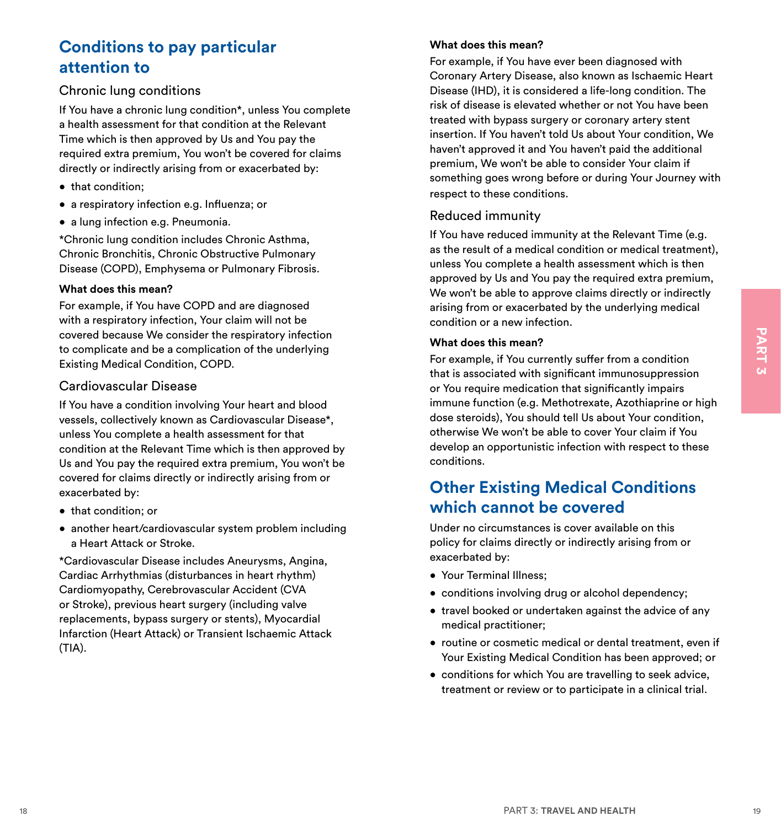# <span id="page-13-0"></span>**Conditions to pay particular attention to**

#### Chronic lung conditions

If You have a chronic lung condition\*, unless You complete a health assessment for that condition at the Relevant Time which is then approved by Us and You pay the required extra premium, You won't be covered for claims directly or indirectly arising from or exacerbated by:

- that condition;
- a respiratory infection e.g. Influenza; or
- a lung infection e.g. Pneumonia.

\*Chronic lung condition includes Chronic Asthma, Chronic Bronchitis, Chronic Obstructive Pulmonary Disease (COPD), Emphysema or Pulmonary Fibrosis.

#### **What does this mean?**

For example, if You have COPD and are diagnosed with a respiratory infection, Your claim will not be covered because We consider the respiratory infection to complicate and be a complication of the underlying Existing Medical Condition, COPD.

#### Cardiovascular Disease

If You have a condition involving Your heart and blood vessels, collectively known as Cardiovascular Disease\*, unless You complete a health assessment for that condition at the Relevant Time which is then approved by Us and You pay the required extra premium, You won't be covered for claims directly or indirectly arising from or exacerbated by:

- that condition; or
- another heart/cardiovascular system problem including a Heart Attack or Stroke.

\*Cardiovascular Disease includes Aneurysms, Angina, Cardiac Arrhythmias (disturbances in heart rhythm) Cardiomyopathy, Cerebrovascular Accident (CVA or Stroke), previous heart surgery (including valve replacements, bypass surgery or stents), Myocardial Infarction (Heart Attack) or Transient Ischaemic Attack (TIA).

#### **What does this mean?**

For example, if You have ever been diagnosed with Coronary Artery Disease, also known as Ischaemic Heart Disease (IHD), it is considered a life-long condition. The risk of disease is elevated whether or not You have been treated with bypass surgery or coronary artery stent insertion. If You haven't told Us about Your condition, We haven't approved it and You haven't paid the additional premium, We won't be able to consider Your claim if something goes wrong before or during Your Journey with respect to these conditions.

#### Reduced immunity

If You have reduced immunity at the Relevant Time (e.g. as the result of a medical condition or medical treatment), unless You complete a health assessment which is then approved by Us and You pay the required extra premium, We won't be able to approve claims directly or indirectly arising from or exacerbated by the underlying medical condition or a new infection.

#### **What does this mean?**

covered because We consider the respiratory infection and the east philosophe and be a complication of the underlying France and the associated with significant control control control control control control control contr For example, if You currently suffer from a condition that is associated with significant immunosuppression or You require medication that significantly impairs immune function (e.g. Methotrexate, Azothiaprine or high dose steroids), You should tell Us about Your condition, otherwise We won't be able to cover Your claim if You develop an opportunistic infection with respect to these conditions.

# **Other Existing Medical Conditions which cannot be covered**

Under no circumstances is cover available on this policy for claims directly or indirectly arising from or exacerbated by:

- Your Terminal Illness;
- conditions involving drug or alcohol dependency;
- travel booked or undertaken against the advice of any medical practitioner;
- routine or cosmetic medical or dental treatment, even if Your Existing Medical Condition has been approved; or
- conditions for which You are travelling to seek advice, treatment or review or to participate in a clinical trial.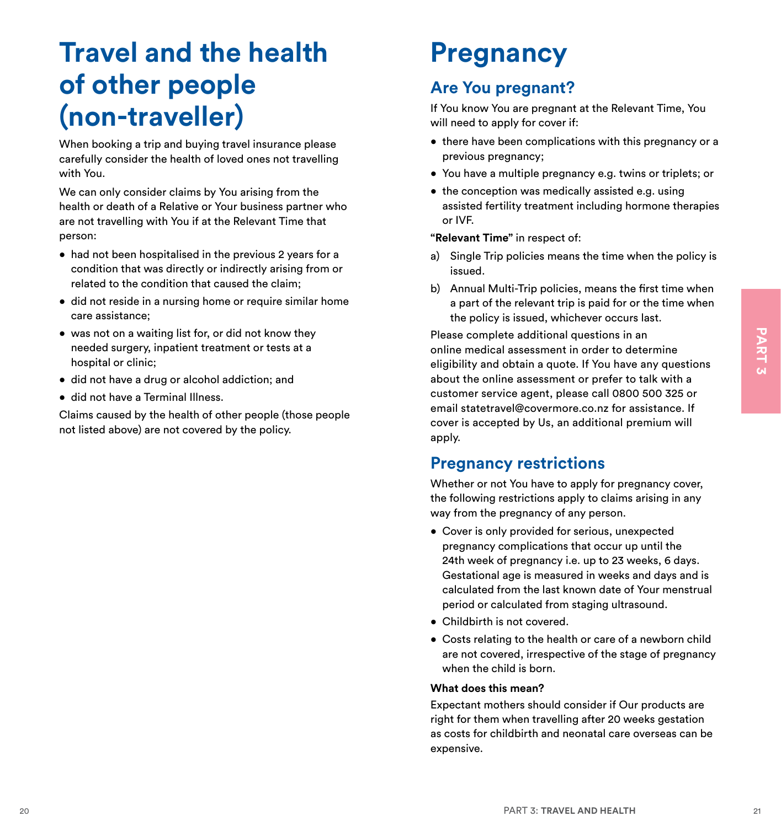# **Travel and the health of other people (non-traveller)**

When booking a trip and buying travel insurance please carefully consider the health of loved ones not travelling with You.

We can only consider claims by You arising from the health or death of a Relative or Your business partner who are not travelling with You if at the Relevant Time that person:

- had not been hospitalised in the previous 2 years for a condition that was directly or indirectly arising from or related to the condition that caused the claim;
- did not reside in a nursing home or require similar home care assistance;
- was not on a waiting list for, or did not know they needed surgery, inpatient treatment or tests at a hospital or clinic;
- did not have a drug or alcohol addiction; and
- did not have a Terminal Illness.

Claims caused by the health of other people (those people not listed above) are not covered by the policy.

# **Pregnancy**

# **Are You pregnant?**

If You know You are pregnant at the Relevant Time, You will need to apply for cover if:

- there have been complications with this pregnancy or a previous pregnancy;
- You have a multiple pregnancy e.g. twins or triplets; or
- the conception was medically assisted e.g. using assisted fertility treatment including hormone therapies or IVF.

#### **"Relevant Time"** in respect of:

- a) Single Trip policies means the time when the policy is issued.
- b) Annual Multi-Trip policies, means the first time when a part of the relevant trip is paid for or the time when the policy is issued, whichever occurs last.

e was not an availing last for, or did not know they are complete additional questions in an<br>interaction and control of the minimum of the control of the control of the control of the control of the control of the control Please complete additional questions in an online medical assessment in order to determine eligibility and obtain a quote. If You have any questions about the online assessment or prefer to talk with a customer service agent, please call 0800 500 325 or email statetravel@covermore.co.nz for assistance. If cover is accepted by Us, an additional premium will apply.

### **Pregnancy restrictions**

Whether or not You have to apply for pregnancy cover, the following restrictions apply to claims arising in any way from the pregnancy of any person.

- Cover is only provided for serious, unexpected pregnancy complications that occur up until the 24th week of pregnancy i.e. up to 23 weeks, 6 days. Gestational age is measured in weeks and days and is calculated from the last known date of Your menstrual period or calculated from staging ultrasound.
- Childbirth is not covered.
- Costs relating to the health or care of a newborn child are not covered, irrespective of the stage of pregnancy when the child is born.

#### **What does this mean?**

Expectant mothers should consider if Our products are right for them when travelling after 20 weeks gestation as costs for childbirth and neonatal care overseas can be expensive.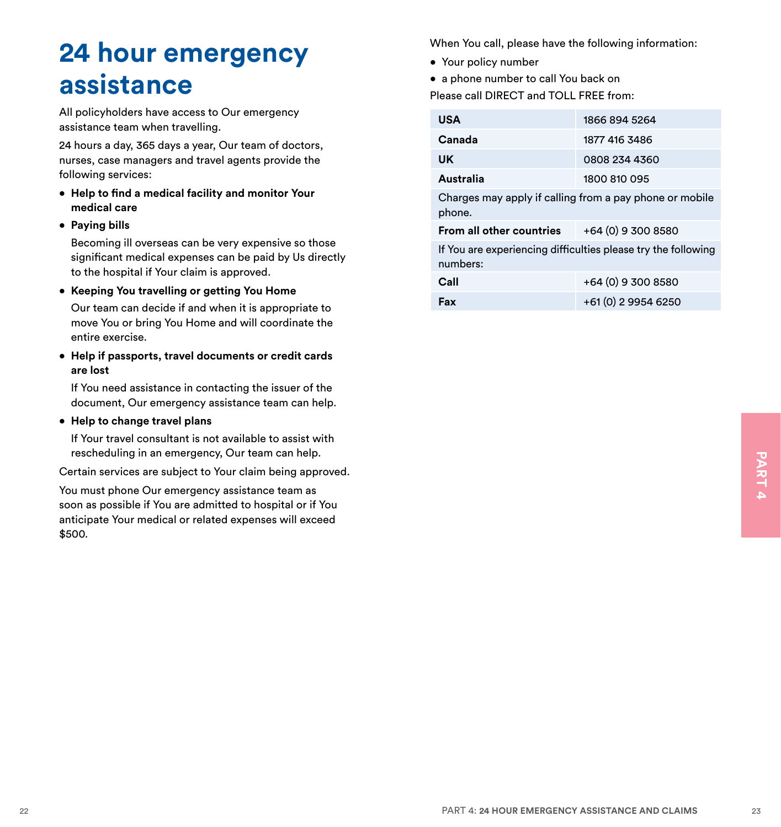# <span id="page-15-0"></span>**24 hour emergency assistance**

All policyholders have access to Our emergency assistance team when travelling.

24 hours a day, 365 days a year, Our team of doctors, nurses, case managers and travel agents provide the following services:

- **• Help to find a medical facility and monitor Your medical care**
- **• Paying bills**

Becoming ill overseas can be very expensive so those significant medical expenses can be paid by Us directly to the hospital if Your claim is approved.

**• Keeping You travelling or getting You Home**

Our team can decide if and when it is appropriate to move You or bring You Home and will coordinate the entire exercise.

**• Help if passports, travel documents or credit cards are lost**

If You need assistance in contacting the issuer of the document, Our emergency assistance team can help.

**• Help to change travel plans** 

If Your travel consultant is not available to assist with rescheduling in an emergency, Our team can help.

Certain services are subject to Your claim being approved.

Pescreation and intergency, Our team can help.<br>Certain services are subject to Your claim being approved.<br>You must phone Our emergency assistance team as<br>soon as possible if You are admitted to hospital or if You<br>anticipat You must phone Our emergency assistance team as soon as possible if You are admitted to hospital or if You anticipate Your medical or related expenses will exceed \$500.

When You call, please have the following information:

- Your policy number
- a phone number to call You back on

Please call DIRECT and TOLL FREE from:

| <b>USA</b>                                                                | 1866 894 5264       |  |  |  |
|---------------------------------------------------------------------------|---------------------|--|--|--|
| Canada                                                                    | 1877 416 3486       |  |  |  |
| UK                                                                        | 0808 234 4360       |  |  |  |
| Australia                                                                 | 1800 810 095        |  |  |  |
| Charges may apply if calling from a pay phone or mobile<br>phone.         |                     |  |  |  |
| From all other countries $+64(0)93008580$                                 |                     |  |  |  |
| If You are experiencing difficulties please try the following<br>numbers: |                     |  |  |  |
| Call                                                                      | +64 (0) 9 300 8580  |  |  |  |
| Fax                                                                       | +61 (0) 2 9954 6250 |  |  |  |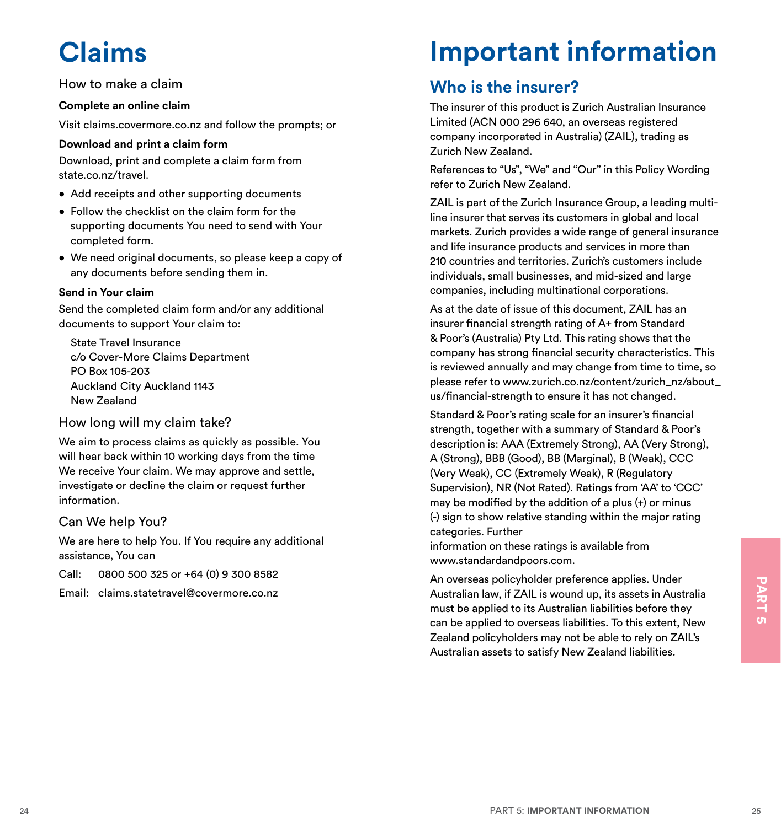# **Claims**

#### How to make a claim

#### **Complete an online claim**

Visit claims.covermore.co.nz and follow the prompts; or

#### **Download and print a claim form**

Download, print and complete a claim form from state.co.nz/travel.

- Add receipts and other supporting documents
- Follow the checklist on the claim form for the supporting documents You need to send with Your completed form.
- We need original documents, so please keep a copy of any documents before sending them in.

#### **Send in Your claim**

Send the completed claim form and/or any additional documents to support Your claim to:

State Travel Insurance c/o Cover-More Claims Department PO Box 105-203 Auckland City Auckland 1143 New Zealand

#### How long will my claim take?

We aim to process claims as quickly as possible. You will hear back within 10 working days from the time We receive Your claim. We may approve and settle, investigate or decline the claim or request further information.

#### Can We help You?

We are here to help You. If You require any additional assistance, You can

Call: 0800 500 325 or +64 (0) 9 300 8582

Email: claims.statetravel@covermore.co.nz

# **Important information**

# **Who is the insurer?**

The insurer of this product is Zurich Australian Insurance Limited (ACN 000 296 640, an overseas registered company incorporated in Australia) (ZAIL), trading as Zurich New Zealand.

References to "Us", "We" and "Our" in this Policy Wording refer to Zurich New Zealand.

ZAIL is part of the Zurich Insurance Group, a leading multiline insurer that serves its customers in global and local markets. Zurich provides a wide range of general insurance and life insurance products and services in more than 210 countries and territories. Zurich's customers include individuals, small businesses, and mid-sized and large companies, including multinational corporations.

As at the date of issue of this document, ZAIL has an insurer financial strength rating of A+ from Standard & Poor's (Australia) Pty Ltd. This rating shows that the company has strong financial security characteristics. This is reviewed annually and may change from time to time, so please refer to www.zurich.co.nz/content/zurich\_nz/about\_ us/financial-strength to ensure it has not changed.

Standard & Poor's rating scale for an insurer's financial strength, together with a summary of Standard & Poor's description is: AAA (Extremely Strong), AA (Very Strong), A (Strong), BBB (Good), BB (Marginal), B (Weak), CCC (Very Weak), CC (Extremely Weak), R (Regulatory Supervision), NR (Not Rated). Ratings from 'AA' to 'CCC' may be modified by the addition of a plus (+) or minus (-) sign to show relative standing within the major rating categories. Further

information on these ratings is available from www.standardandpoors.com.

<sup>24</sup> PART 5: **IMPORTANT INFORMATION** <sup>25</sup>**PART 5** An overseas policyholder preference applies. Under Australian law, if ZAIL is wound up, its assets in Australia must be applied to its Australian liabilities before they can be applied to overseas liabilities. To this extent, New Zealand policyholders may not be able to rely on ZAIL's Australian assets to satisfy New Zealand liabilities.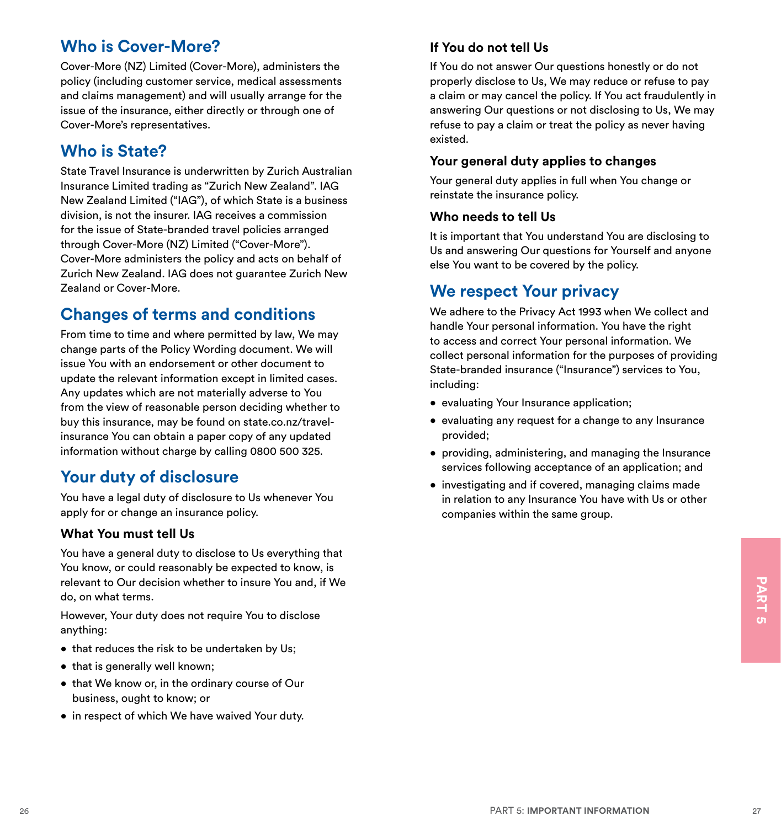# **Who is Cover-More?**

Cover-More (NZ) Limited (Cover-More), administers the policy (including customer service, medical assessments and claims management) and will usually arrange for the issue of the insurance, either directly or through one of Cover-More's representatives.

# **Who is State?**

State Travel Insurance is underwritten by Zurich Australian Insurance Limited trading as "Zurich New Zealand". IAG New Zealand Limited ("IAG"), of which State is a business division, is not the insurer. IAG receives a commission for the issue of State-branded travel policies arranged through Cover-More (NZ) Limited ("Cover-More"). Cover-More administers the policy and acts on behalf of Zurich New Zealand. IAG does not guarantee Zurich New Zealand or Cover-More.

# **Changes of terms and conditions**

From time to time and where permitted by law, We may change parts of the Policy Wording document. We will issue You with an endorsement or other document to update the relevant information except in limited cases. Any updates which are not materially adverse to You from the view of reasonable person deciding whether to buy this insurance, may be found on state.co.nz/travelinsurance You can obtain a paper copy of any updated information without charge by calling 0800 500 325.

# **Your duty of disclosure**

You have a legal duty of disclosure to Us whenever You apply for or change an insurance policy.

#### **What You must tell Us**

relevant to Our decision whether to insure You and, if We<br>
do, on what terms.<br>
However, Your duty does not require You to disclose<br>
anything:<br>
• that reduces the risk to be undertaken by Us;<br>
• that is generally well known You have a general duty to disclose to Us everything that You know, or could reasonably be expected to know, is relevant to Our decision whether to insure You and, if We do, on what terms.

However, Your duty does not require You to disclose anything:

- that reduces the risk to be undertaken by Us;
- that is generally well known;
- that We know or, in the ordinary course of Our business, ought to know; or
- in respect of which We have waived Your duty.

#### **If You do not tell Us**

If You do not answer Our questions honestly or do not properly disclose to Us, We may reduce or refuse to pay a claim or may cancel the policy. If You act fraudulently in answering Our questions or not disclosing to Us, We may refuse to pay a claim or treat the policy as never having existed.

#### **Your general duty applies to changes**

Your general duty applies in full when You change or reinstate the insurance policy.

#### **Who needs to tell Us**

It is important that You understand You are disclosing to Us and answering Our questions for Yourself and anyone else You want to be covered by the policy.

### **We respect Your privacy**

We adhere to the Privacy Act 1993 when We collect and handle Your personal information. You have the right to access and correct Your personal information. We collect personal information for the purposes of providing State-branded insurance ("Insurance") services to You, including:

- evaluating Your Insurance application;
- evaluating any request for a change to any Insurance provided;
- providing, administering, and managing the Insurance services following acceptance of an application; and
- investigating and if covered, managing claims made in relation to any Insurance You have with Us or other companies within the same group.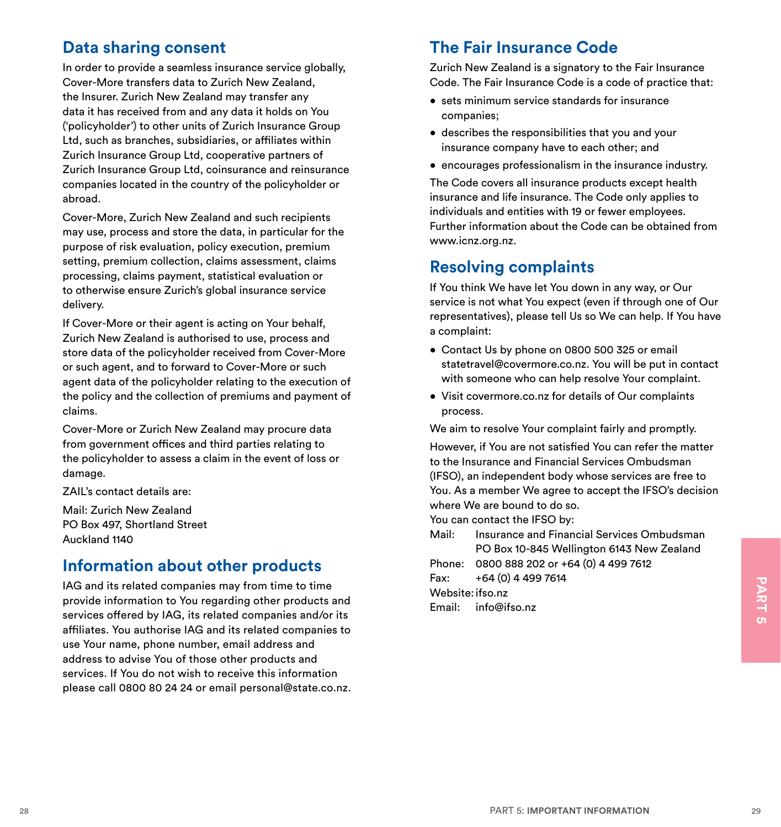# **Data sharing consent**

In order to provide a seamless insurance service globally, Cover-More transfers data to Zurich New Zealand, the Insurer. Zurich New Zealand may transfer any data it has received from and any data it holds on You ('policyholder') to other units of Zurich Insurance Group Ltd, such as branches, subsidiaries, or affiliates within Zurich Insurance Group Ltd, cooperative partners of Zurich Insurance Group Ltd, coinsurance and reinsurance companies located in the country of the policyholder or abroad.

Cover-More, Zurich New Zealand and such recipients may use, process and store the data, in particular for the purpose of risk evaluation, policy execution, premium setting, premium collection, claims assessment, claims processing, claims payment, statistical evaluation or to otherwise ensure Zurich's global insurance service delivery.

If Cover-More or their agent is acting on Your behalf, Zurich New Zealand is authorised to use, process and store data of the policyholder received from Cover-More or such agent, and to forward to Cover-More or such agent data of the policyholder relating to the execution of the policy and the collection of premiums and payment of claims.

Cover-More or Zurich New Zealand may procure data from government offices and third parties relating to the policyholder to assess a claim in the event of loss or damage.

ZAIL's contact details are:

Mail: Zurich New Zealand PO Box 497, Shortland Street Auckland 1140

# **Information about other products**

IAG and its related companies may from time to time<br>
provide information to You regarding other products and<br>
services offered by IAG, its related companies and/or its<br>
services of fered by IAG, its related companies to th IAG and its related companies may from time to time provide information to You regarding other products and services offered by IAG, its related companies and/or its affiliates. You authorise IAG and its related companies to use Your name, phone number, email address and address to advise You of those other products and services. If You do not wish to receive this information please call 0800 80 24 24 or email personal@state.co.nz.

# **The Fair Insurance Code**

Zurich New Zealand is a signatory to the Fair Insurance Code. The Fair Insurance Code is a code of practice that:

- sets minimum service standards for insurance companies;
- describes the responsibilities that you and your insurance company have to each other; and
- encourages professionalism in the insurance industry.

The Code covers all insurance products except health insurance and life insurance. The Code only applies to individuals and entities with 19 or fewer employees. Further information about the Code can be obtained from www.icnz.org.nz.

### **Resolving complaints**

If You think We have let You down in any way, or Our service is not what You expect (even if through one of Our representatives), please tell Us so We can help. If You have a complaint:

- Contact Us by phone on 0800 500 325 or email statetravel@covermore.co.nz. You will be put in contact with someone who can help resolve Your complaint.
- Visit covermore.co.nz for details of Our complaints process.

We aim to resolve Your complaint fairly and promptly.

However, if You are not satisfied You can refer the matter to the Insurance and Financial Services Ombudsman (IFSO), an independent body whose services are free to You. As a member We agree to accept the IFSO's decision where We are bound to do so.

You can contact the IFSO by:

Mail: Insurance and Financial Services Ombudsman PO Box 10-845 Wellington 6143 New Zealand

Phone: 0800 888 202 or +64 (0) 4 499 7612

Fax:  $+64(0)$  4 499 7614

Website: ifso.nz

Email: info@ifso.nz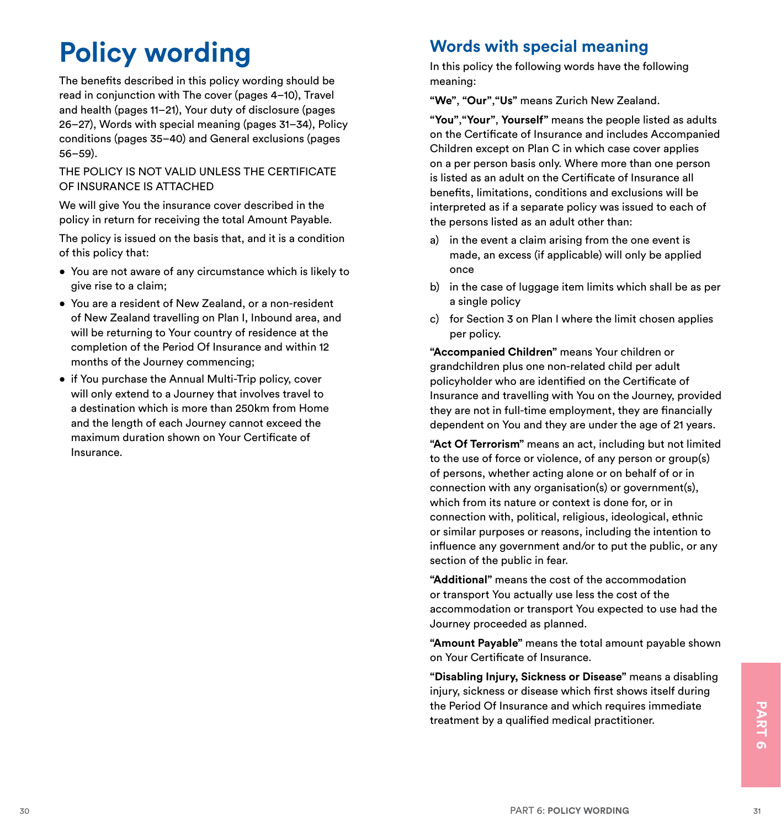# **Policy wording**

The benefits described in this policy wording should be read in conjunction with The cover (pages 4–10), Travel and health (pages 11–21), Your duty of disclosure (pages 26–27), Words with special meaning (pages 31–34), Policy conditions (pages 35–40) and General exclusions (pages 56–59).

#### THE POLICY IS NOT VALID UNLESS THE CERTIFICATE OF INSURANCE IS ATTACHED

We will give You the insurance cover described in the policy in return for receiving the total Amount Payable.

The policy is issued on the basis that, and it is a condition of this policy that:

- You are not aware of any circumstance which is likely to give rise to a claim;
- You are a resident of New Zealand, or a non-resident of New Zealand travelling on Plan I, Inbound area, and will be returning to Your country of residence at the completion of the Period Of Insurance and within 12 months of the Journey commencing;
- if You purchase the Annual Multi-Trip policy, cover will only extend to a Journey that involves travel to a destination which is more than 250km from Home and the length of each Journey cannot exceed the maximum duration shown on Your Certificate of Insurance.

# **Words with special meaning**

In this policy the following words have the following meaning:

**"We"**, **"Our"**,**"Us"** means Zurich New Zealand.

**"You"**,**"Your"**, **Yourself"** means the people listed as adults on the Certificate of Insurance and includes Accompanied Children except on Plan C in which case cover applies on a per person basis only. Where more than one person is listed as an adult on the Certificate of Insurance all benefits, limitations, conditions and exclusions will be interpreted as if a separate policy was issued to each of the persons listed as an adult other than:

- a) in the event a claim arising from the one event is made, an excess (if applicable) will only be applied once
- b) in the case of luggage item limits which shall be as per a single policy
- c) for Section 3 on Plan I where the limit chosen applies per policy.

**"Accompanied Children"** means Your children or grandchildren plus one non-related child per adult policyholder who are identified on the Certificate of Insurance and travelling with You on the Journey, provided they are not in full-time employment, they are financially dependent on You and they are under the age of 21 years.

**"Act Of Terrorism"** means an act, including but not limited to the use of force or violence, of any person or group(s) of persons, whether acting alone or on behalf of or in connection with any organisation(s) or government(s), which from its nature or context is done for, or in connection with, political, religious, ideological, ethnic or similar purposes or reasons, including the intention to influence any government and/or to put the public, or any section of the public in fear.

**"Additional"** means the cost of the accommodation or transport You actually use less the cost of the accommodation or transport You expected to use had the Journey proceeded as planned.

**"Amount Payable"** means the total amount payable shown on Your Certificate of Insurance.

the Period Of Insurance and which requires immediate<br>treatment by a qualified medical practitioner. **"Disabling Injury, Sickness or Disease"** means a disabling injury, sickness or disease which first shows itself during the Period Of Insurance and which requires immediate treatment by a qualified medical practitioner.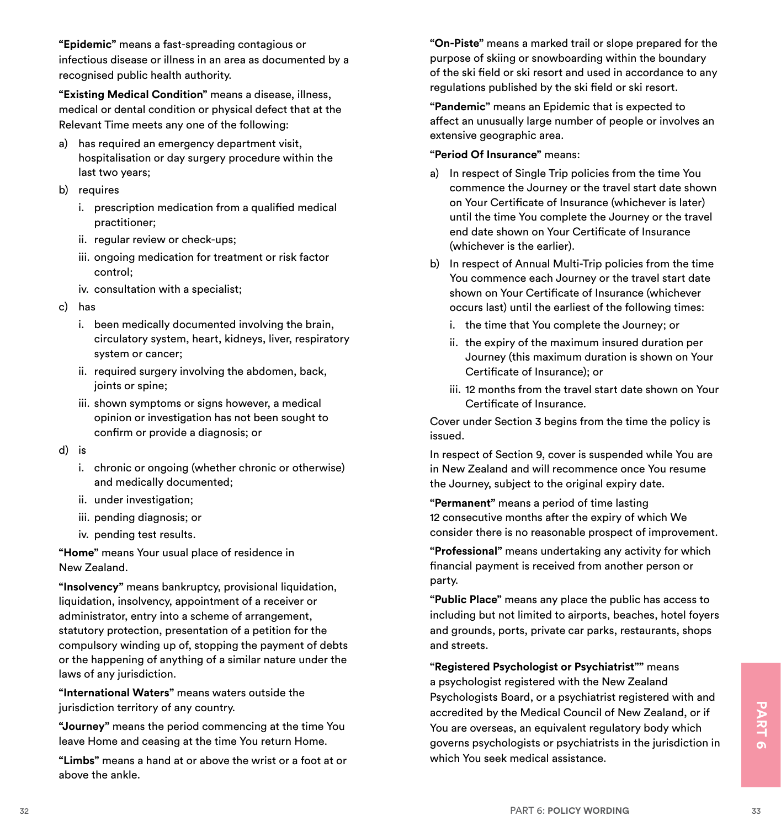**"Epidemic"** means a fast-spreading contagious or infectious disease or illness in an area as documented by a recognised public health authority.

**"Existing Medical Condition"** means a disease, illness, medical or dental condition or physical defect that at the Relevant Time meets any one of the following:

- a) has required an emergency department visit, hospitalisation or day surgery procedure within the last two years;
- b) requires
	- i. prescription medication from a qualified medical practitioner;
	- ii. regular review or check-ups;
	- iii. ongoing medication for treatment or risk factor control;
	- iv. consultation with a specialist;
- c) has
	- i. been medically documented involving the brain, circulatory system, heart, kidneys, liver, respiratory system or cancer;
	- ii. required surgery involving the abdomen, back, joints or spine;
	- iii. shown symptoms or signs however, a medical opinion or investigation has not been sought to confirm or provide a diagnosis; or
- d) is
	- i. chronic or ongoing (whether chronic or otherwise) and medically documented;
	- ii. under investigation;
	- iii. pending diagnosis; or
	- iv. pending test results.

**"Home"** means Your usual place of residence in New Zealand.

**"Insolvency"** means bankruptcy, provisional liquidation, liquidation, insolvency, appointment of a receiver or administrator, entry into a scheme of arrangement, statutory protection, presentation of a petition for the compulsory winding up of, stopping the payment of debts or the happening of anything of a similar nature under the laws of any jurisdiction.

**"International Waters"** means waters outside the jurisdiction territory of any country.

**"Journey"** means the period commencing at the time You leave Home and ceasing at the time You return Home.

**"Limbs"** means a hand at or above the wrist or a foot at or above the ankle.

**"On-Piste"** means a marked trail or slope prepared for the purpose of skiing or snowboarding within the boundary of the ski field or ski resort and used in accordance to any regulations published by the ski field or ski resort.

**"Pandemic"** means an Epidemic that is expected to affect an unusually large number of people or involves an extensive geographic area.

#### **"Period Of Insurance"** means:

- a) In respect of Single Trip policies from the time You commence the Journey or the travel start date shown on Your Certificate of Insurance (whichever is later) until the time You complete the Journey or the travel end date shown on Your Certificate of Insurance (whichever is the earlier).
- b) In respect of Annual Multi-Trip policies from the time You commence each Journey or the travel start date shown on Your Certificate of Insurance (whichever occurs last) until the earliest of the following times:
	- i. the time that You complete the Journey; or
	- ii. the expiry of the maximum insured duration per Journey (this maximum duration is shown on Your Certificate of Insurance); or
	- iii. 12 months from the travel start date shown on Your Certificate of Insurance.

Cover under Section 3 begins from the time the policy is issued.

In respect of Section 9, cover is suspended while You are in New Zealand and will recommence once You resume the Journey, subject to the original expiry date.

**"Permanent"** means a period of time lasting 12 consecutive months after the expiry of which We consider there is no reasonable prospect of improvement.

**"Professional"** means undertaking any activity for which financial payment is received from another person or party.

**"Public Place"** means any place the public has access to including but not limited to airports, beaches, hotel foyers and grounds, ports, private car parks, restaurants, shops and streets.

Station territory of any country.<br>
Station territory of any country.<br>
The s<sup>tation</sup> in the station of the station in the station in the station of the station in the station of the station in the station of the station in **"Registered Psychologist or Psychiatrist""** means a psychologist registered with the New Zealand Psychologists Board, or a psychiatrist registered with and accredited by the Medical Council of New Zealand, or if You are overseas, an equivalent regulatory body which governs psychologists or psychiatrists in the jurisdiction in which You seek medical assistance.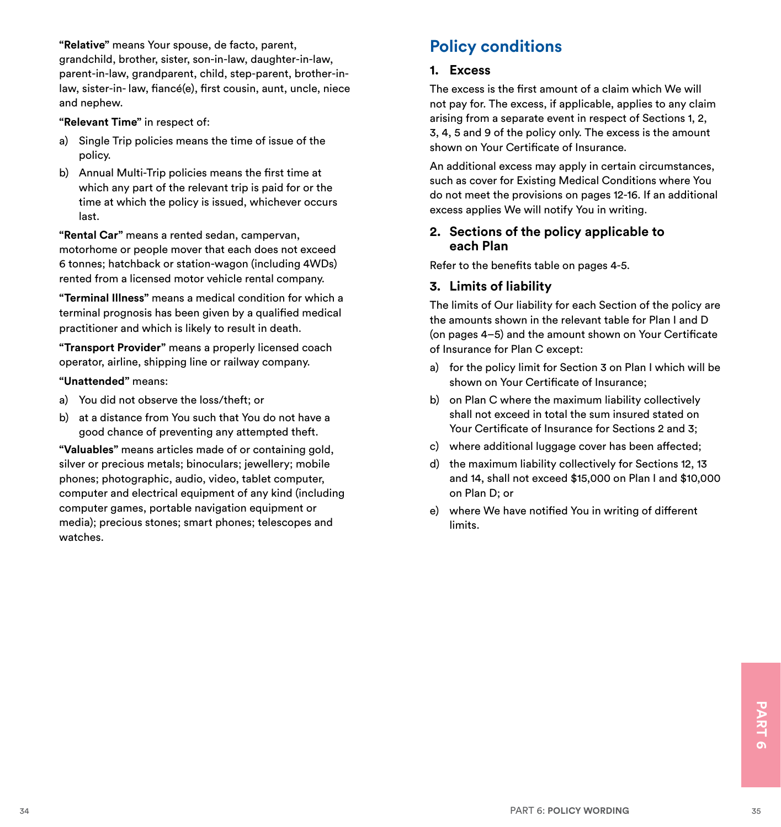<span id="page-21-0"></span>**"Relative"** means Your spouse, de facto, parent,

grandchild, brother, sister, son-in-law, daughter-in-law, parent-in-law, grandparent, child, step-parent, brother-inlaw, sister-in- law, fiancé(e), first cousin, aunt, uncle, niece and nephew.

**"Relevant Time"** in respect of:

- a) Single Trip policies means the time of issue of the policy.
- b) Annual Multi-Trip policies means the first time at which any part of the relevant trip is paid for or the time at which the policy is issued, whichever occurs last.

**"Rental Car"** means a rented sedan, campervan, motorhome or people mover that each does not exceed 6 tonnes; hatchback or station-wagon (including 4WDs) rented from a licensed motor vehicle rental company.

**"Terminal Illness"** means a medical condition for which a terminal prognosis has been given by a qualified medical practitioner and which is likely to result in death.

**"Transport Provider"** means a properly licensed coach operator, airline, shipping line or railway company.

#### **"Unattended"** means:

- a) You did not observe the loss/theft; or
- b) at a distance from You such that You do not have a good chance of preventing any attempted theft.

**"Valuables"** means articles made of or containing gold, silver or precious metals; binoculars; jewellery; mobile phones; photographic, audio, video, tablet computer, computer and electrical equipment of any kind (including computer games, portable navigation equipment or media); precious stones; smart phones; telescopes and watches.

# **Policy conditions**

#### **1. Excess**

The excess is the first amount of a claim which We will not pay for. The excess, if applicable, applies to any claim arising from a separate event in respect of Sections 1, 2, 3, 4, 5 and 9 of the policy only. The excess is the amount shown on Your Certificate of Insurance.

An additional excess may apply in certain circumstances, such as cover for Existing Medical Conditions where You do not meet the provisions on pages 12-16. If an additional excess applies We will notify You in writing.

#### **2. Sections of the policy applicable to each Plan**

Refer to the benefits table on pages 4-5.

#### **3. Limits of liability**

The limits of Our liability for each Section of the policy are the amounts shown in the relevant table for Plan I and D (on pages 4–5) and the amount shown on Your Certificate of Insurance for Plan C except:

- a) for the policy limit for Section 3 on Plan I which will be shown on Your Certificate of Insurance;
- b) on Plan C where the maximum liability collectively shall not exceed in total the sum insured stated on Your Certificate of Insurance for Sections 2 and 3;
- c) where additional luggage cover has been affected;
- d) the maximum liability collectively for Sections 12, 13 and 14, shall not exceed \$15,000 on Plan I and \$10,000 on Plan D; or
- e) where We have notified You in writing of different limits.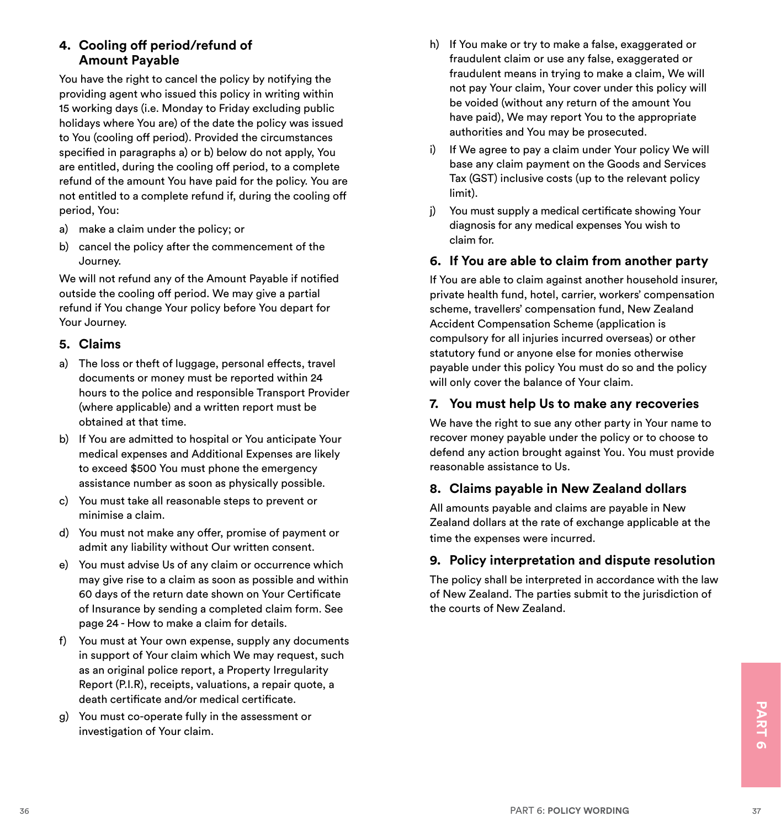#### **4. Cooling off period/refund of Amount Payable**

You have the right to cancel the policy by notifying the providing agent who issued this policy in writing within 15 working days (i.e. Monday to Friday excluding public holidays where You are) of the date the policy was issued to You (cooling off period). Provided the circumstances specified in paragraphs a) or b) below do not apply, You are entitled, during the cooling off period, to a complete refund of the amount You have paid for the policy. You are not entitled to a complete refund if, during the cooling off period, You:

- a) make a claim under the policy; or
- b) cancel the policy after the commencement of the Journey.

We will not refund any of the Amount Payable if notified outside the cooling off period. We may give a partial refund if You change Your policy before You depart for Your Journey.

#### **5. Claims**

- a) The loss or theft of luggage, personal effects, travel documents or money must be reported within 24 hours to the police and responsible Transport Provider (where applicable) and a written report must be obtained at that time.
- b) If You are admitted to hospital or You anticipate Your medical expenses and Additional Expenses are likely to exceed \$500 You must phone the emergency assistance number as soon as physically possible.
- c) You must take all reasonable steps to prevent or minimise a claim.
- d) You must not make any offer, promise of payment or admit any liability without Our written consent.
- e) You must advise Us of any claim or occurrence which may give rise to a claim as soon as possible and within 60 days of the return date shown on Your Certificate of Insurance by sending a completed claim form. See page 24 - How to make a claim for details.
- f) You must at Your own expense, supply any documents in support of Your claim which We may request, such as an original police report, a Property Irregularity Report (P.I.R), receipts, valuations, a repair quote, a death certificate and/or medical certificate.
- Solution and the second of Your claim.<br>
36 PART 6: POLICY WORDING<br>
37<br>
36 PART 6: POLICY WORDING g) You must co-operate fully in the assessment or investigation of Your claim.
- h) If You make or try to make a false, exaggerated or fraudulent claim or use any false, exaggerated or fraudulent means in trying to make a claim, We will not pay Your claim, Your cover under this policy will be voided (without any return of the amount You have paid), We may report You to the appropriate authorities and You may be prosecuted.
- i) If We agree to pay a claim under Your policy We will base any claim payment on the Goods and Services Tax (GST) inclusive costs (up to the relevant policy limit).
- j) You must supply a medical certificate showing Your diagnosis for any medical expenses You wish to claim for.

#### **6. If You are able to claim from another party**

If You are able to claim against another household insurer, private health fund, hotel, carrier, workers' compensation scheme, travellers' compensation fund, New Zealand Accident Compensation Scheme (application is compulsory for all injuries incurred overseas) or other statutory fund or anyone else for monies otherwise payable under this policy You must do so and the policy will only cover the balance of Your claim.

#### **7. You must help Us to make any recoveries**

We have the right to sue any other party in Your name to recover money payable under the policy or to choose to defend any action brought against You. You must provide reasonable assistance to Us.

#### **8. Claims payable in New Zealand dollars**

All amounts payable and claims are payable in New Zealand dollars at the rate of exchange applicable at the time the expenses were incurred.

#### **9. Policy interpretation and dispute resolution**

The policy shall be interpreted in accordance with the law of New Zealand. The parties submit to the jurisdiction of the courts of New Zealand.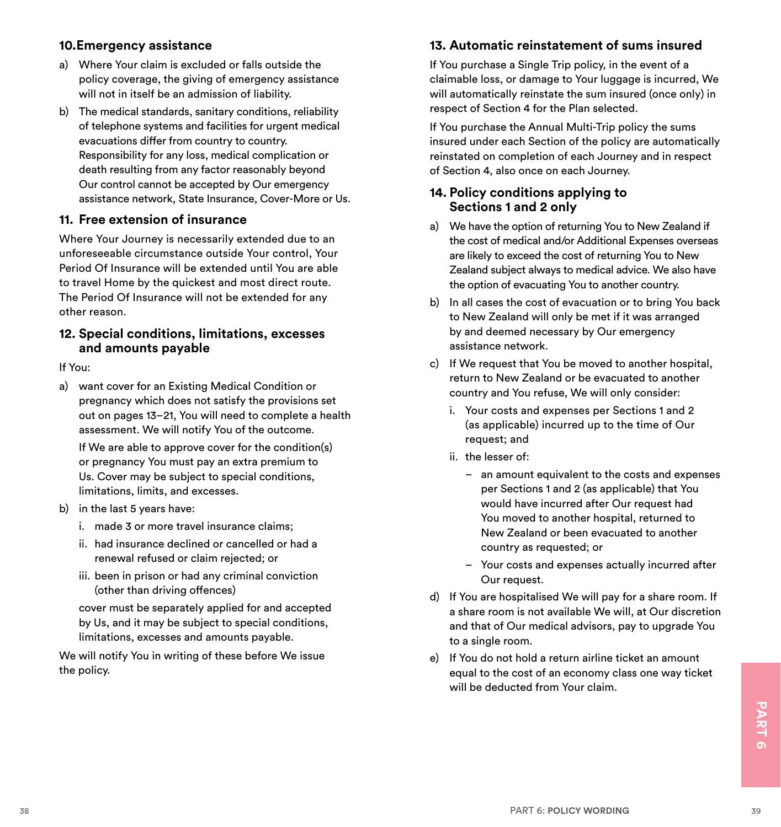#### **10.Emergency assistance**

- a) Where Your claim is excluded or falls outside the policy coverage, the giving of emergency assistance will not in itself be an admission of liability.
- b) The medical standards, sanitary conditions, reliability of telephone systems and facilities for urgent medical evacuations differ from country to country. Responsibility for any loss, medical complication or death resulting from any factor reasonably beyond Our control cannot be accepted by Our emergency assistance network, State Insurance, Cover-More or Us.

#### **11. Free extension of insurance**

Where Your Journey is necessarily extended due to an unforeseeable circumstance outside Your control, Your Period Of Insurance will be extended until You are able to travel Home by the quickest and most direct route. The Period Of Insurance will not be extended for any other reason.

#### **12. Special conditions, limitations, excesses and amounts payable**

If You:

a) want cover for an Existing Medical Condition or pregnancy which does not satisfy the provisions set out on pages 13–21, You will need to complete a health assessment. We will notify You of the outcome.

 If We are able to approve cover for the condition(s) or pregnancy You must pay an extra premium to Us. Cover may be subject to special conditions, limitations, limits, and excesses.

- b) in the last 5 years have:
	- i. made 3 or more travel insurance claims;
	- ii. had insurance declined or cancelled or had a renewal refused or claim rejected; or
	- iii. been in prison or had any criminal conviction (other than driving offences)

 cover must be separately applied for and accepted by Us, and it may be subject to special conditions, limitations, excesses and amounts payable.

We will notify You in writing of these before We issue the policy.

#### **13. Automatic reinstatement of sums insured**

If You purchase a Single Trip policy, in the event of a claimable loss, or damage to Your luggage is incurred, We will automatically reinstate the sum insured (once only) in respect of Section 4 for the Plan selected.

If You purchase the Annual Multi-Trip policy the sums insured under each Section of the policy are automatically reinstated on completion of each Journey and in respect of Section 4, also once on each Journey.

#### **14. Policy conditions applying to Sections 1 and 2 only**

- a) We have the option of returning You to New Zealand if the cost of medical and/or Additional Expenses overseas are likely to exceed the cost of returning You to New Zealand subject always to medical advice. We also have the option of evacuating You to another country.
- b) In all cases the cost of evacuation or to bring You back to New Zealand will only be met if it was arranged by and deemed necessary by Our emergency assistance network.
- c) If We request that You be moved to another hospital, return to New Zealand or be evacuated to another country and You refuse, We will only consider:
	- i. Your costs and expenses per Sections 1 and 2 (as applicable) incurred up to the time of Our request; and
	- ii. the lesser of:
		- an amount equivalent to the costs and expenses per Sections 1 and 2 (as applicable) that You would have incurred after Our request had You moved to another hospital, returned to New Zealand or been evacuated to another country as requested; or
		- Your costs and expenses actually incurred after Our request.
- d) If You are hospitalised We will pay for a share room. If a share room is not available We will, at Our discretion and that of Our medical advisors, pay to upgrade You to a single room.
- e) If You do not hold a return airline ticket an amount equal to the cost of an economy class one way ticket will be deducted from Your claim.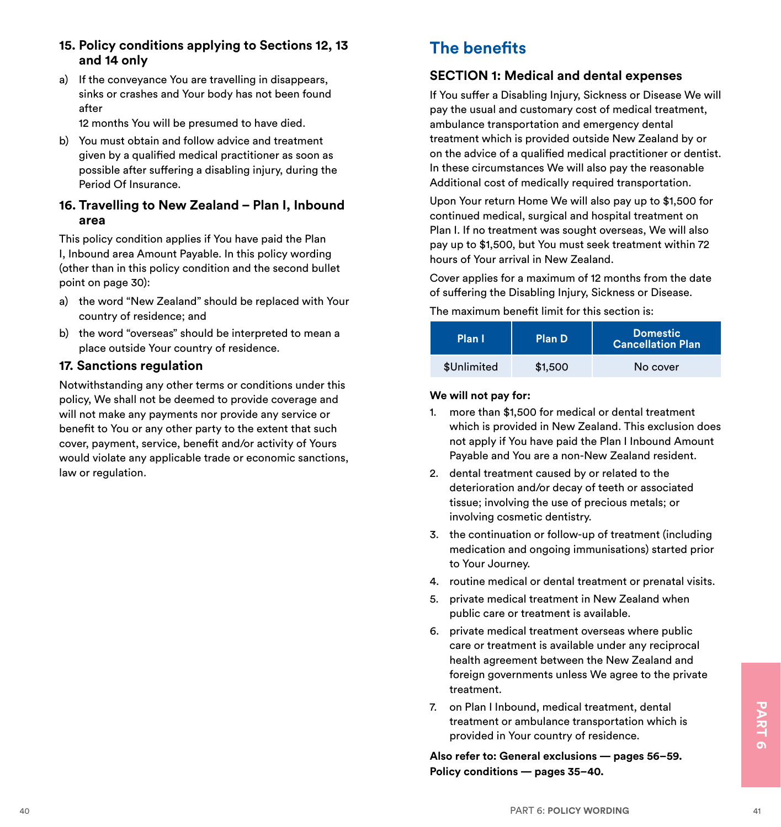#### **15. Policy conditions applying to Sections 12, 13 and 14 only**

a) If the conveyance You are travelling in disappears, sinks or crashes and Your body has not been found after

12 months You will be presumed to have died.

b) You must obtain and follow advice and treatment given by a qualified medical practitioner as soon as possible after suffering a disabling injury, during the Period Of Insurance.

#### **16. Travelling to New Zealand – Plan I, Inbound area**

This policy condition applies if You have paid the Plan I, Inbound area Amount Payable. In this policy wording (other than in this policy condition and the second bullet point on page 30):

- a) the word "New Zealand" should be replaced with Your country of residence; and
- b) the word "overseas" should be interpreted to mean a place outside Your country of residence.

#### **17. Sanctions regulation**

Notwithstanding any other terms or conditions under this policy, We shall not be deemed to provide coverage and will not make any payments nor provide any service or benefit to You or any other party to the extent that such cover, payment, service, benefit and/or activity of Yours would violate any applicable trade or economic sanctions, law or regulation.

# **The benefits**

#### **SECTION 1: Medical and dental expenses**

If You suffer a Disabling Injury, Sickness or Disease We will pay the usual and customary cost of medical treatment, ambulance transportation and emergency dental treatment which is provided outside New Zealand by or on the advice of a qualified medical practitioner or dentist. In these circumstances We will also pay the reasonable Additional cost of medically required transportation.

Upon Your return Home We will also pay up to \$1,500 for continued medical, surgical and hospital treatment on Plan I. If no treatment was sought overseas, We will also pay up to \$1,500, but You must seek treatment within 72 hours of Your arrival in New Zealand.

Cover applies for a maximum of 12 months from the date of suffering the Disabling Injury, Sickness or Disease.

The maximum benefit limit for this section is:

| Plan I      | Plan D  | Domestic<br><b>Cancellation Plan</b> |
|-------------|---------|--------------------------------------|
| \$Unlimited | \$1,500 | No cover                             |

#### **We will not pay for:**

- 1. more than \$1,500 for medical or dental treatment which is provided in New Zealand. This exclusion does not apply if You have paid the Plan I Inbound Amount Payable and You are a non-New Zealand resident.
- 2. dental treatment caused by or related to the deterioration and/or decay of teeth or associated tissue; involving the use of precious metals; or involving cosmetic dentistry.
- 3. the continuation or follow-up of treatment (including medication and ongoing immunisations) started prior to Your Journey.
- 4. routine medical or dental treatment or prenatal visits.
- 5. private medical treatment in New Zealand when public care or treatment is available.
- 6. private medical treatment overseas where public care or treatment is available under any reciprocal health agreement between the New Zealand and foreign governments unless We agree to the private treatment.
- 7. on Plan I Inbound, medical treatment, dental<br>treatment or ambulance transportation which is<br>provided in Your country of residence.<br>Also refer to: General exclusions pages 56–59.<br>Policy conditions pages 35–40.<br><sup>240</sup><br> 7. on Plan I Inbound, medical treatment, dental treatment or ambulance transportation which is provided in Your country of residence.

**Also refer to: General exclusions — pages 56–59. Policy conditions — pages 35–40.**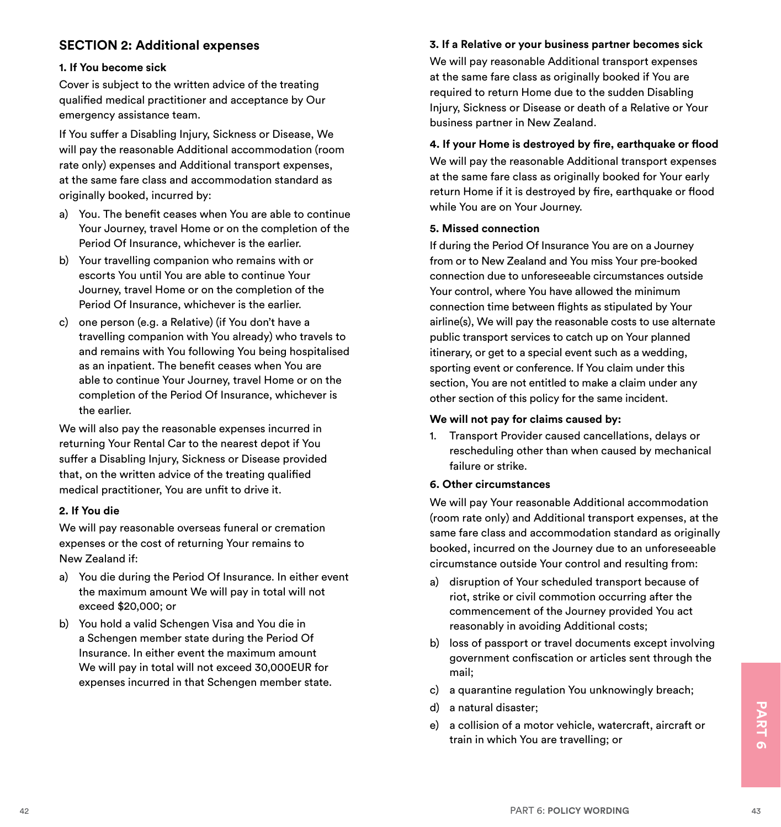#### **SECTION 2: Additional expenses**

#### **1. If You become sick**

Cover is subject to the written advice of the treating qualified medical practitioner and acceptance by Our emergency assistance team.

If You suffer a Disabling Injury, Sickness or Disease, We will pay the reasonable Additional accommodation (room rate only) expenses and Additional transport expenses, at the same fare class and accommodation standard as originally booked, incurred by:

- a) You. The benefit ceases when You are able to continue Your Journey, travel Home or on the completion of the Period Of Insurance, whichever is the earlier.
- b) Your travelling companion who remains with or escorts You until You are able to continue Your Journey, travel Home or on the completion of the Period Of Insurance, whichever is the earlier.
- c) one person (e.g. a Relative) (if You don't have a travelling companion with You already) who travels to and remains with You following You being hospitalised as an inpatient. The benefit ceases when You are able to continue Your Journey, travel Home or on the completion of the Period Of Insurance, whichever is the earlier.

We will also pay the reasonable expenses incurred in returning Your Rental Car to the nearest depot if You suffer a Disabling Injury, Sickness or Disease provided that, on the written advice of the treating qualified medical practitioner, You are unfit to drive it.

#### **2. If You die**

We will pay reasonable overseas funeral or cremation expenses or the cost of returning Your remains to New Zealand if:

- a) You die during the Period Of Insurance. In either event the maximum amount We will pay in total will not exceed \$20,000; or
- b) You hold a valid Schengen Visa and You die in a Schengen member state during the Period Of Insurance. In either event the maximum amount We will pay in total will not exceed 30,000EUR for expenses incurred in that Schengen member state.

#### **3. If a Relative or your business partner becomes sick**

We will pay reasonable Additional transport expenses at the same fare class as originally booked if You are required to return Home due to the sudden Disabling Injury, Sickness or Disease or death of a Relative or Your business partner in New Zealand.

#### **4. If your Home is destroyed by fire, earthquake or flood**

We will pay the reasonable Additional transport expenses at the same fare class as originally booked for Your early return Home if it is destroyed by fire, earthquake or flood while You are on Your Journey.

#### **5. Missed connection**

If during the Period Of Insurance You are on a Journey from or to New Zealand and You miss Your pre-booked connection due to unforeseeable circumstances outside Your control, where You have allowed the minimum connection time between flights as stipulated by Your airline(s), We will pay the reasonable costs to use alternate public transport services to catch up on Your planned itinerary, or get to a special event such as a wedding, sporting event or conference. If You claim under this section, You are not entitled to make a claim under any other section of this policy for the same incident.

#### **We will not pay for claims caused by:**

1. Transport Provider caused cancellations, delays or rescheduling other than when caused by mechanical failure or strike.

#### **6. Other circumstances**

We will pay Your reasonable Additional accommodation (room rate only) and Additional transport expenses, at the same fare class and accommodation standard as originally booked, incurred on the Journey due to an unforeseeable circumstance outside Your control and resulting from:

- a) disruption of Your scheduled transport because of riot, strike or civil commotion occurring after the commencement of the Journey provided You act reasonably in avoiding Additional costs;
- b) loss of passport or travel documents except involving government confiscation or articles sent through the mail;
- c) a quarantine regulation You unknowingly breach;
- d) a natural disaster;
- 4) a natural disaster;<br>
e) a collision of a motor vehicle, watercraft, aircraft or<br>
train in which You are travelling; or<br>
PART 6: POLICY WORDING<br>
<sup>43</sup> e) a collision of a motor vehicle, watercraft, aircraft or train in which You are travelling; or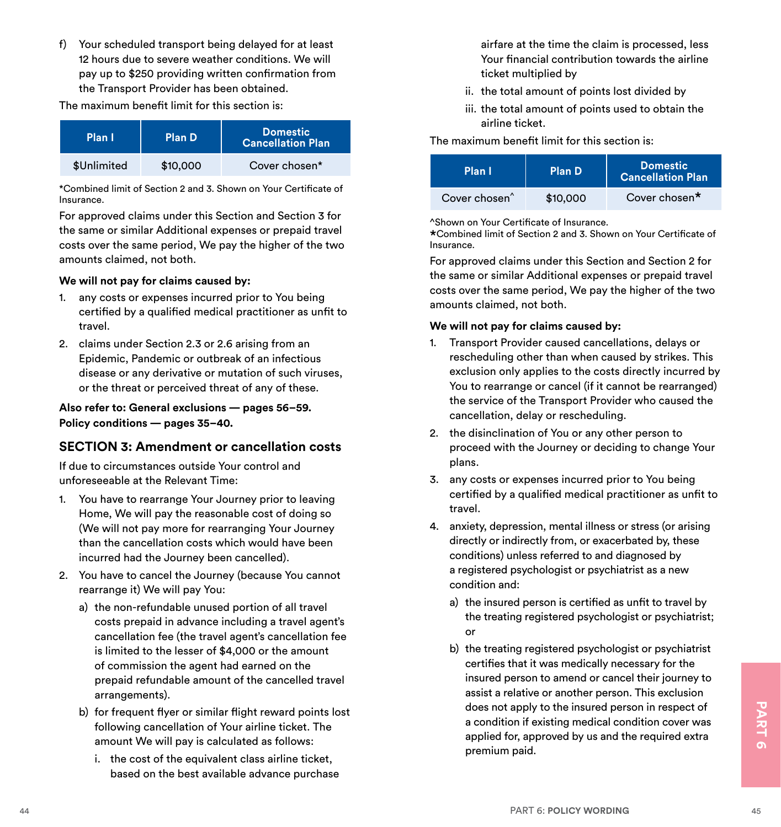f) Your scheduled transport being delayed for at least 12 hours due to severe weather conditions. We will pay up to \$250 providing written confirmation from the Transport Provider has been obtained.

The maximum benefit limit for this section is:

| Plan I      | Plan D   | Domestic<br><b>Cancellation Plan</b> |
|-------------|----------|--------------------------------------|
| \$Unlimited | \$10,000 | Cover chosen*                        |

\*Combined limit of Section 2 and 3. Shown on Your Certificate of Insurance.

For approved claims under this Section and Section 3 for the same or similar Additional expenses or prepaid travel costs over the same period, We pay the higher of the two amounts claimed, not both.

#### **We will not pay for claims caused by:**

- 1. any costs or expenses incurred prior to You being certified by a qualified medical practitioner as unfit to travel.
- 2. claims under Section 2.3 or 2.6 arising from an Epidemic, Pandemic or outbreak of an infectious disease or any derivative or mutation of such viruses, or the threat or perceived threat of any of these.

#### **Also refer to: General exclusions — pages 56–59. Policy conditions — pages 35–40.**

#### **SECTION 3: Amendment or cancellation costs**

If due to circumstances outside Your control and unforeseeable at the Relevant Time:

- 1. You have to rearrange Your Journey prior to leaving Home, We will pay the reasonable cost of doing so (We will not pay more for rearranging Your Journey than the cancellation costs which would have been incurred had the Journey been cancelled).
- 2. You have to cancel the Journey (because You cannot rearrange it) We will pay You:
	- a) the non-refundable unused portion of all travel costs prepaid in advance including a travel agent's cancellation fee (the travel agent's cancellation fee is limited to the lesser of \$4,000 or the amount of commission the agent had earned on the prepaid refundable amount of the cancelled travel arrangements).
	- b) for frequent flyer or similar flight reward points lost following cancellation of Your airline ticket. The amount We will pay is calculated as follows:
		- i. the cost of the equivalent class airline ticket, based on the best available advance purchase

airfare at the time the claim is processed, less Your financial contribution towards the airline ticket multiplied by

- ii. the total amount of points lost divided by
- iii. the total amount of points used to obtain the airline ticket.

#### The maximum benefit limit for this section is:

| Plan I                    | Plan D   | Domestic<br>Cancellation Plan |
|---------------------------|----------|-------------------------------|
| Cover chosen <sup>^</sup> | \$10,000 | Cover chosen*                 |

^Shown on Your Certificate of Insurance.

\*Combined limit of Section 2 and 3. Shown on Your Certificate of Insurance.

For approved claims under this Section and Section 2 for the same or similar Additional expenses or prepaid travel costs over the same period, We pay the higher of the two amounts claimed, not both.

#### **We will not pay for claims caused by:**

- 1. Transport Provider caused cancellations, delays or rescheduling other than when caused by strikes. This exclusion only applies to the costs directly incurred by You to rearrange or cancel (if it cannot be rearranged) the service of the Transport Provider who caused the cancellation, delay or rescheduling.
- 2. the disinclination of You or any other person to proceed with the Journey or deciding to change Your plans.
- 3. any costs or expenses incurred prior to You being certified by a qualified medical practitioner as unfit to travel.
- 4. anxiety, depression, mental illness or stress (or arising directly or indirectly from, or exacerbated by, these conditions) unless referred to and diagnosed by a registered psychologist or psychiatrist as a new condition and:
	- a) the insured person is certified as unfit to travel by the treating registered psychologist or psychiatrist; or
- 44 PART 6: POLICY WORDING **45**<br>
b) for frequent flyer or similar flight reward points lost<br>
following cancellation of Your airline ticket. The<br>
amount We will pay is calculated as follows:<br>
i. the cost of the equivalent cl b) the treating registered psychologist or psychiatrist certifies that it was medically necessary for the insured person to amend or cancel their journey to assist a relative or another person. This exclusion does not apply to the insured person in respect of a condition if existing medical condition cover was applied for, approved by us and the required extra premium paid.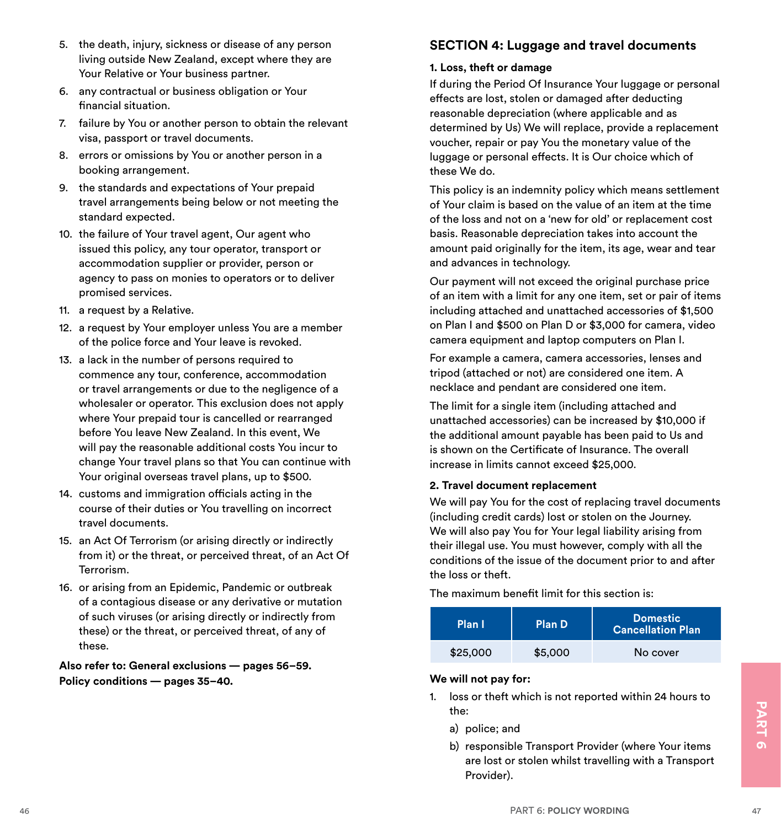- 5. the death, injury, sickness or disease of any person living outside New Zealand, except where they are Your Relative or Your business partner.
- 6. any contractual or business obligation or Your financial situation.
- 7. failure by You or another person to obtain the relevant visa, passport or travel documents.
- 8. errors or omissions by You or another person in a booking arrangement.
- 9. the standards and expectations of Your prepaid travel arrangements being below or not meeting the standard expected.
- 10. the failure of Your travel agent, Our agent who issued this policy, any tour operator, transport or accommodation supplier or provider, person or agency to pass on monies to operators or to deliver promised services.
- 11. a request by a Relative.
- 12. a request by Your employer unless You are a member of the police force and Your leave is revoked.
- 13. a lack in the number of persons required to commence any tour, conference, accommodation or travel arrangements or due to the negligence of a wholesaler or operator. This exclusion does not apply where Your prepaid tour is cancelled or rearranged before You leave New Zealand. In this event, We will pay the reasonable additional costs You incur to change Your travel plans so that You can continue with Your original overseas travel plans, up to \$500.
- 14. customs and immigration officials acting in the course of their duties or You travelling on incorrect travel documents.
- 15. an Act Of Terrorism (or arising directly or indirectly from it) or the threat, or perceived threat, of an Act Of Terrorism.
- 16. or arising from an Epidemic, Pandemic or outbreak of a contagious disease or any derivative or mutation of such viruses (or arising directly or indirectly from these) or the threat, or perceived threat, of any of these.

**Also refer to: General exclusions — pages 56–59. Policy conditions — pages 35–40.**

#### **SECTION 4: Luggage and travel documents**

#### **1. Loss, theft or damage**

If during the Period Of Insurance Your luggage or personal effects are lost, stolen or damaged after deducting reasonable depreciation (where applicable and as determined by Us) We will replace, provide a replacement voucher, repair or pay You the monetary value of the luggage or personal effects. It is Our choice which of these We do.

This policy is an indemnity policy which means settlement of Your claim is based on the value of an item at the time of the loss and not on a 'new for old' or replacement cost basis. Reasonable depreciation takes into account the amount paid originally for the item, its age, wear and tear and advances in technology.

Our payment will not exceed the original purchase price of an item with a limit for any one item, set or pair of items including attached and unattached accessories of \$1,500 on Plan I and \$500 on Plan D or \$3,000 for camera, video camera equipment and laptop computers on Plan I.

For example a camera, camera accessories, lenses and tripod (attached or not) are considered one item. A necklace and pendant are considered one item.

The limit for a single item (including attached and unattached accessories) can be increased by \$10,000 if the additional amount payable has been paid to Us and is shown on the Certificate of Insurance. The overall increase in limits cannot exceed \$25,000.

#### **2. Travel document replacement**

We will pay You for the cost of replacing travel documents (including credit cards) lost or stolen on the Journey. We will also pay You for Your legal liability arising from their illegal use. You must however, comply with all the conditions of the issue of the document prior to and after the loss or theft.

The maximum benefit limit for this section is:

| Plan I   | <b>Plan D</b> | <b>Domestic</b><br><b>Cancellation Plan</b> |
|----------|---------------|---------------------------------------------|
| \$25,000 | \$5,000       | No cover                                    |

#### **We will not pay for:**

- 1. loss or theft which is not reported within 24 hours to the:
	- a) police; and
- the:<br>
a) police; and<br>
b) responsible Transport Provider (where Your items<br>
are lost or stolen whilst travelling with a Transport<br>
PART 6: POLICY WORDING<br>
<sup>PART 6: POLICY WORDING</sup> b) responsible Transport Provider (where Your items are lost or stolen whilst travelling with a Transport Provider).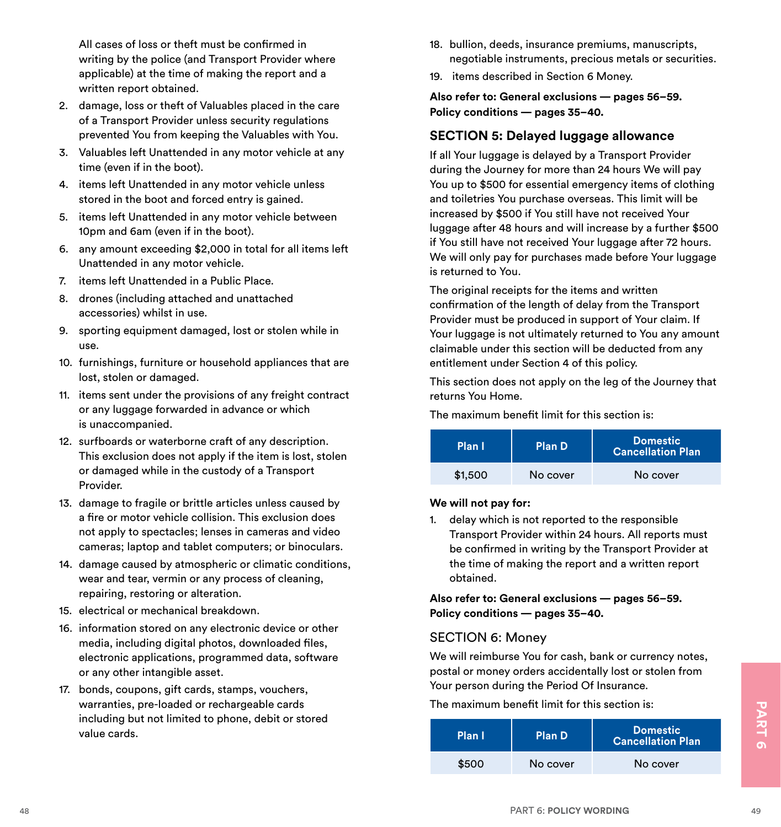All cases of loss or theft must be confirmed in writing by the police (and Transport Provider where applicable) at the time of making the report and a written report obtained.

- 2. damage, loss or theft of Valuables placed in the care of a Transport Provider unless security regulations prevented You from keeping the Valuables with You.
- 3. Valuables left Unattended in any motor vehicle at any time (even if in the boot).
- 4. items left Unattended in any motor vehicle unless stored in the boot and forced entry is gained.
- 5. items left Unattended in any motor vehicle between 10pm and 6am (even if in the boot).
- 6. any amount exceeding \$2,000 in total for all items left Unattended in any motor vehicle.
- 7. items left Unattended in a Public Place.
- 8. drones (including attached and unattached accessories) whilst in use.
- 9. sporting equipment damaged, lost or stolen while in use.
- 10. furnishings, furniture or household appliances that are lost, stolen or damaged.
- 11. items sent under the provisions of any freight contract or any luggage forwarded in advance or which is unaccompanied.
- 12. surfboards or waterborne craft of any description. This exclusion does not apply if the item is lost, stolen or damaged while in the custody of a Transport Provider.
- 13. damage to fragile or brittle articles unless caused by a fire or motor vehicle collision. This exclusion does not apply to spectacles; lenses in cameras and video cameras; laptop and tablet computers; or binoculars.
- 14. damage caused by atmospheric or climatic conditions, wear and tear, vermin or any process of cleaning, repairing, restoring or alteration.
- 15. electrical or mechanical breakdown.
- 16. information stored on any electronic device or other media, including digital photos, downloaded files, electronic applications, programmed data, software or any other intangible asset.
- 17. bonds, coupons, gift cards, stamps, vouchers, warranties, pre-loaded or rechargeable cards including but not limited to phone, debit or stored value cards.
- 18. bullion, deeds, insurance premiums, manuscripts, negotiable instruments, precious metals or securities.
- 19. items described in Section 6 Money.

**Also refer to: General exclusions — pages 56–59. Policy conditions — pages 35–40.**

#### **SECTION 5: Delayed luggage allowance**

If all Your luggage is delayed by a Transport Provider during the Journey for more than 24 hours We will pay You up to \$500 for essential emergency items of clothing and toiletries You purchase overseas. This limit will be increased by \$500 if You still have not received Your luggage after 48 hours and will increase by a further \$500 if You still have not received Your luggage after 72 hours. We will only pay for purchases made before Your luggage is returned to You.

The original receipts for the items and written confirmation of the length of delay from the Transport Provider must be produced in support of Your claim. If Your luggage is not ultimately returned to You any amount claimable under this section will be deducted from any entitlement under Section 4 of this policy.

This section does not apply on the leg of the Journey that returns You Home.

The maximum benefit limit for this section is:

| Plan I  | <b>Plan D</b> | <b>Domestic</b><br><b>Cancellation Plan</b> |
|---------|---------------|---------------------------------------------|
| \$1,500 | No cover      | No cover                                    |

#### **We will not pay for:**

1. delay which is not reported to the responsible Transport Provider within 24 hours. All reports must be confirmed in writing by the Transport Provider at the time of making the report and a written report obtained.

**Also refer to: General exclusions — pages 56–59. Policy conditions — pages 35–40.**

#### SECTION 6: Money

We will reimburse You for cash, bank or currency notes, postal or money orders accidentally lost or stolen from Your person during the Period Of Insurance.

The maximum benefit limit for this section is:

| warranties, pre-loaded or rechargeable cards<br>including but not limited to phone, debit or stored<br>value cards. | The maximum benefit limit for this section is: I |                               |                                             |  |               |
|---------------------------------------------------------------------------------------------------------------------|--------------------------------------------------|-------------------------------|---------------------------------------------|--|---------------|
|                                                                                                                     | Plan I                                           | <b>Plan D</b>                 | <b>Domestic</b><br><b>Cancellation Plan</b> |  | 즈<br>$\sigma$ |
|                                                                                                                     | \$500                                            | No cover                      | No cover                                    |  |               |
|                                                                                                                     |                                                  |                               |                                             |  |               |
| 48                                                                                                                  |                                                  | <b>PART 6: POLICY WORDING</b> |                                             |  | 49            |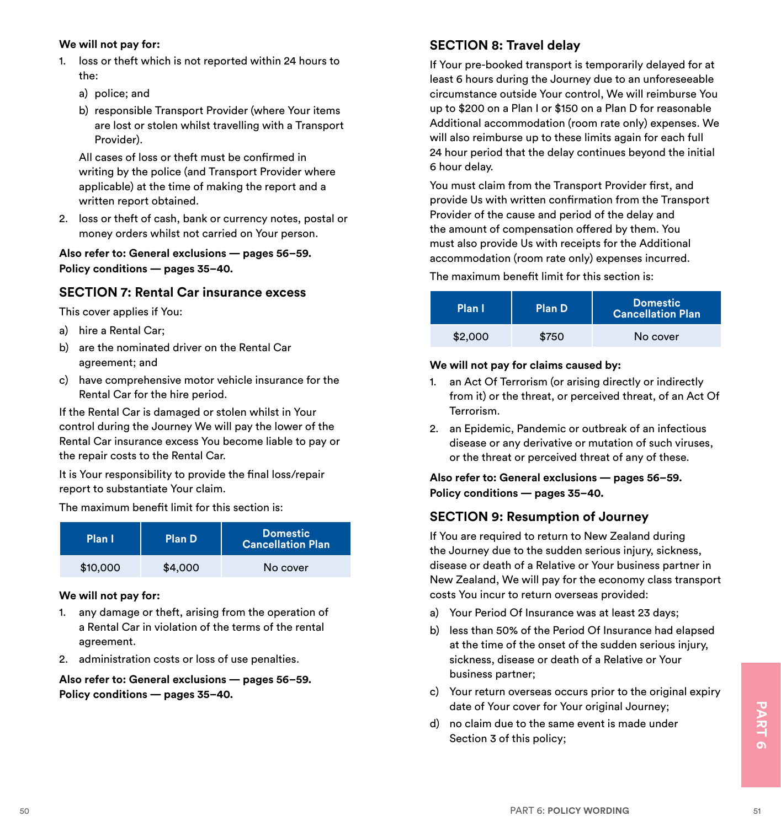#### **We will not pay for:**

- 1. loss or theft which is not reported within 24 hours to the:
	- a) police; and
	- b) responsible Transport Provider (where Your items are lost or stolen whilst travelling with a Transport Provider).

 All cases of loss or theft must be confirmed in writing by the police (and Transport Provider where applicable) at the time of making the report and a written report obtained.

2. loss or theft of cash, bank or currency notes, postal or money orders whilst not carried on Your person.

**Also refer to: General exclusions — pages 56–59. Policy conditions — pages 35–40.**

#### **SECTION 7: Rental Car insurance excess**

This cover applies if You:

- a) hire a Rental Car;
- b) are the nominated driver on the Rental Car agreement; and
- c) have comprehensive motor vehicle insurance for the Rental Car for the hire period.

If the Rental Car is damaged or stolen whilst in Your control during the Journey We will pay the lower of the Rental Car insurance excess You become liable to pay or the repair costs to the Rental Car.

It is Your responsibility to provide the final loss/repair report to substantiate Your claim.

The maximum benefit limit for this section is:

| Plan I   | Plan D  | Domestic<br><b>Cancellation Plan</b> |
|----------|---------|--------------------------------------|
| \$10,000 | \$4,000 | No cover                             |

#### **We will not pay for:**

- 1. any damage or theft, arising from the operation of a Rental Car in violation of the terms of the rental agreement.
- 2. administration costs or loss of use penalties.

**Also refer to: General exclusions — pages 56–59. Policy conditions — pages 35–40.**

#### **SECTION 8: Travel delay**

If Your pre-booked transport is temporarily delayed for at least 6 hours during the Journey due to an unforeseeable circumstance outside Your control, We will reimburse You up to \$200 on a Plan I or \$150 on a Plan D for reasonable Additional accommodation (room rate only) expenses. We will also reimburse up to these limits again for each full 24 hour period that the delay continues beyond the initial 6 hour delay.

You must claim from the Transport Provider first, and provide Us with written confirmation from the Transport Provider of the cause and period of the delay and the amount of compensation offered by them. You must also provide Us with receipts for the Additional accommodation (room rate only) expenses incurred.

The maximum benefit limit for this section is:

| Plan I  | Plan D | <b>Domestic</b><br><b>Cancellation Plan</b> |
|---------|--------|---------------------------------------------|
| \$2,000 | \$750  | No cover                                    |

#### **We will not pay for claims caused by:**

- 1. an Act Of Terrorism (or arising directly or indirectly from it) or the threat, or perceived threat, of an Act Of Terrorism.
- 2. an Epidemic, Pandemic or outbreak of an infectious disease or any derivative or mutation of such viruses, or the threat or perceived threat of any of these.

**Also refer to: General exclusions — pages 56–59. Policy conditions — pages 35–40.**

#### **SECTION 9: Resumption of Journey**

If You are required to return to New Zealand during the Journey due to the sudden serious injury, sickness, disease or death of a Relative or Your business partner in New Zealand, We will pay for the economy class transport costs You incur to return overseas provided:

- a) Your Period Of Insurance was at least 23 days;
- b) less than 50% of the Period Of Insurance had elapsed at the time of the onset of the sudden serious injury, sickness, disease or death of a Relative or Your business partner;
- c) Your return overseas occurs prior to the original expiry date of Your cover for Your original Journey;
- date of Your cover for Your original Journey;<br>d) no claim due to the same event is made under<br>Section 3 of this policy;<br><br>PART 6: POLICY WORDING d) no claim due to the same event is made under Section 3 of this policy;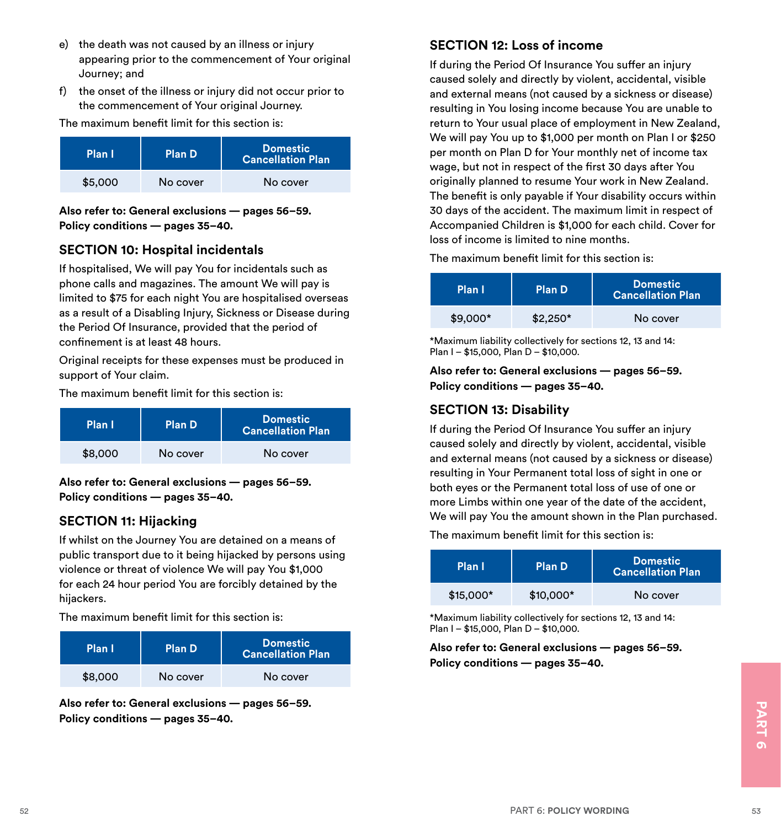- e) the death was not caused by an illness or injury appearing prior to the commencement of Your original Journey; and
- f) the onset of the illness or injury did not occur prior to the commencement of Your original Journey.

The maximum benefit limit for this section is:

| Plan I  | Plan D   | <b>Domestic</b><br><b>Cancellation Plan</b> |
|---------|----------|---------------------------------------------|
| \$5,000 | No cover | No cover                                    |

**Also refer to: General exclusions — pages 56–59. Policy conditions — pages 35–40.**

#### **SECTION 10: Hospital incidentals**

If hospitalised, We will pay You for incidentals such as phone calls and magazines. The amount We will pay is limited to \$75 for each night You are hospitalised overseas as a result of a Disabling Injury, Sickness or Disease during the Period Of Insurance, provided that the period of confinement is at least 48 hours.

Original receipts for these expenses must be produced in support of Your claim.

The maximum benefit limit for this section is:

| Plan I  | Plan D   | Domestic<br><b>Cancellation Plan</b> |
|---------|----------|--------------------------------------|
| \$8,000 | No cover | No cover                             |

**Also refer to: General exclusions — pages 56–59. Policy conditions — pages 35–40.**

#### **SECTION 11: Hijacking**

If whilst on the Journey You are detained on a means of public transport due to it being hijacked by persons using violence or threat of violence We will pay You \$1,000 for each 24 hour period You are forcibly detained by the hijackers.

The maximum benefit limit for this section is:

| Plan I  | Plan D   | Domestic<br><b>Cancellation Plan</b> |
|---------|----------|--------------------------------------|
| \$8,000 | No cover | No cover                             |

Also rerer to: General exclusions — pages 56-59.<br>Policy conditions — pages 35-40.<br><sup>52</sup><br>FART 6: POLICY WORDING **Also refer to: General exclusions — pages 56–59. Policy conditions — pages 35–40.**

#### **SECTION 12: Loss of income**

If during the Period Of Insurance You suffer an injury caused solely and directly by violent, accidental, visible and external means (not caused by a sickness or disease) resulting in You losing income because You are unable to return to Your usual place of employment in New Zealand, We will pay You up to \$1,000 per month on Plan I or \$250 per month on Plan D for Your monthly net of income tax wage, but not in respect of the first 30 days after You originally planned to resume Your work in New Zealand. The benefit is only payable if Your disability occurs within 30 days of the accident. The maximum limit in respect of Accompanied Children is \$1,000 for each child. Cover for loss of income is limited to nine months.

The maximum benefit limit for this section is:

| Plan I    | Plan D    | <b>Domestic</b><br><b>Cancellation Plan</b> |
|-----------|-----------|---------------------------------------------|
| $$9,000*$ | $$2.250*$ | No cover                                    |

\*Maximum liability collectively for sections 12, 13 and 14: Plan I – \$15,000, Plan D – \$10,000.

**Also refer to: General exclusions — pages 56–59. Policy conditions — pages 35–40.**

#### **SECTION 13: Disability**

If during the Period Of Insurance You suffer an injury caused solely and directly by violent, accidental, visible and external means (not caused by a sickness or disease) resulting in Your Permanent total loss of sight in one or both eyes or the Permanent total loss of use of one or more Limbs within one year of the date of the accident, We will pay You the amount shown in the Plan purchased. The maximum benefit limit for this section is:

| Plan I     | <b>Plan D</b> | Domestic<br><b>Cancellation Plan</b> |
|------------|---------------|--------------------------------------|
| $$15.000*$ | $$10,000*$    | No cover                             |

\*Maximum liability collectively for sections 12, 13 and 14: Plan I – \$15,000, Plan D – \$10,000.

**Also refer to: General exclusions — pages 56–59. Policy conditions — pages 35–40.**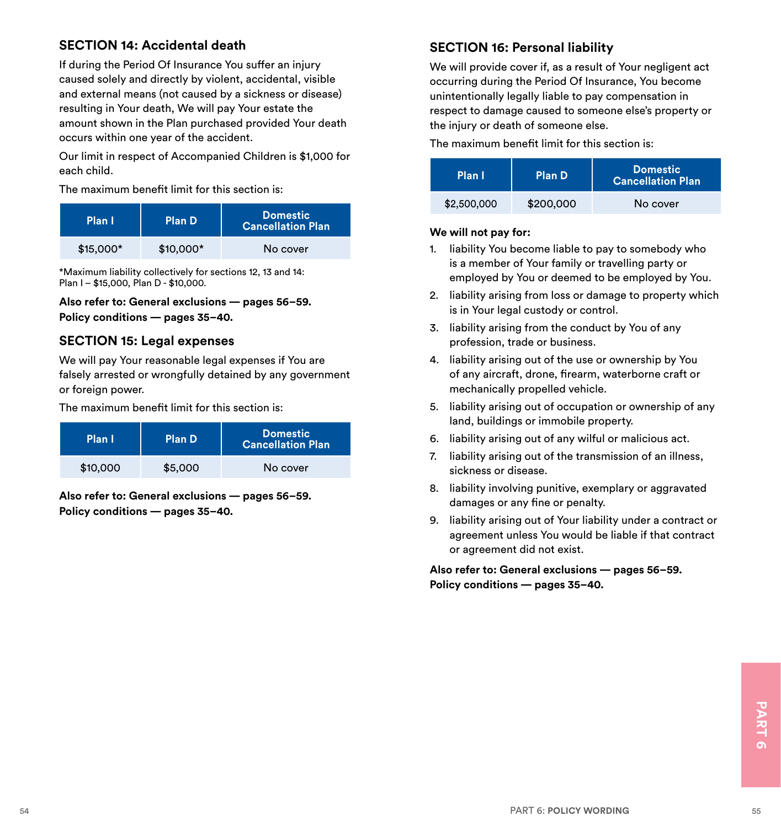#### **SECTION 14: Accidental death**

If during the Period Of Insurance You suffer an injury caused solely and directly by violent, accidental, visible and external means (not caused by a sickness or disease) resulting in Your death, We will pay Your estate the amount shown in the Plan purchased provided Your death occurs within one year of the accident.

Our limit in respect of Accompanied Children is \$1,000 for each child.

The maximum benefit limit for this section is:

| Plan I     | Plan D     | <b>Domestic</b><br><b>Cancellation Plan</b> |
|------------|------------|---------------------------------------------|
| $$15,000*$ | $$10,000*$ | No cover                                    |

\*Maximum liability collectively for sections 12, 13 and 14: Plan I – \$15,000, Plan D - \$10,000.

**Also refer to: General exclusions — pages 56–59. Policy conditions — pages 35–40.**

#### **SECTION 15: Legal expenses**

We will pay Your reasonable legal expenses if You are falsely arrested or wrongfully detained by any government or foreign power.

The maximum benefit limit for this section is:

| Plan I   | Plan D  | <b>Domestic</b><br><b>Cancellation Plan</b> |
|----------|---------|---------------------------------------------|
| \$10,000 | \$5,000 | No cover                                    |

**Also refer to: General exclusions — pages 56–59. Policy conditions — pages 35–40.**

#### **SECTION 16: Personal liability**

We will provide cover if, as a result of Your negligent act occurring during the Period Of Insurance, You become unintentionally legally liable to pay compensation in respect to damage caused to someone else's property or the injury or death of someone else.

The maximum benefit limit for this section is:

| Plan I      | <b>Plan D</b> | <b>Domestic</b><br><b>Cancellation Plan</b> |
|-------------|---------------|---------------------------------------------|
| \$2,500,000 | \$200,000     | No cover                                    |

#### **We will not pay for:**

- 1. liability You become liable to pay to somebody who is a member of Your family or travelling party or employed by You or deemed to be employed by You.
- 2. liability arising from loss or damage to property which is in Your legal custody or control.
- 3. liability arising from the conduct by You of any profession, trade or business.
- 4. liability arising out of the use or ownership by You of any aircraft, drone, firearm, waterborne craft or mechanically propelled vehicle.
- 5. liability arising out of occupation or ownership of any land, buildings or immobile property.
- 6. liability arising out of any wilful or malicious act.
- 7. liability arising out of the transmission of an illness, sickness or disease.
- 8. liability involving punitive, exemplary or aggravated damages or any fine or penalty.
- 9. liability arising out of Your liability under a contract or agreement unless You would be liable if that contract or agreement did not exist.

**Also refer to: General exclusions — pages 56–59. Policy conditions — pages 35–40.**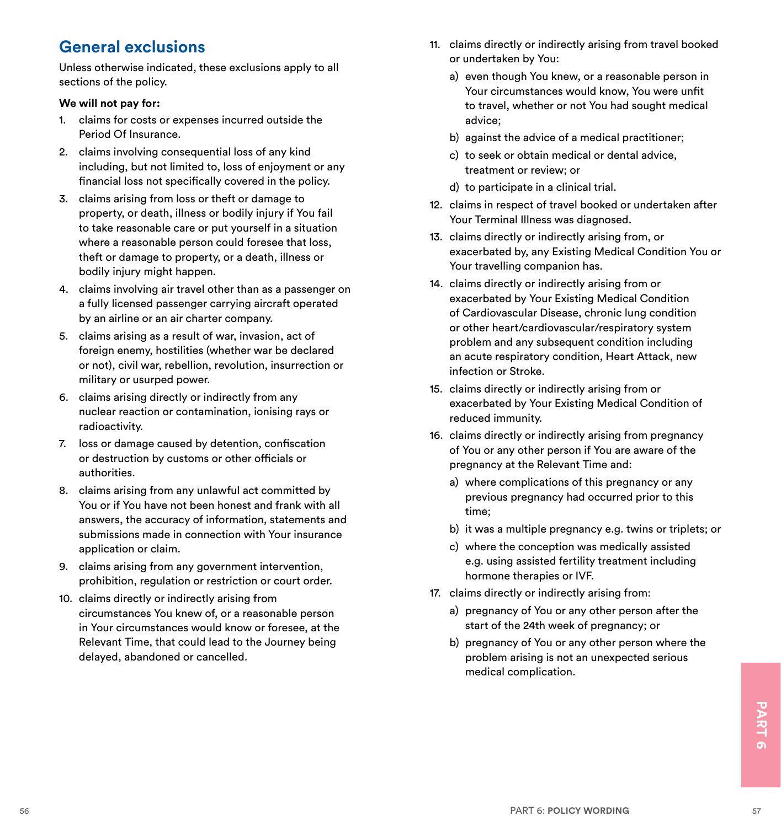# **General exclusions**

Unless otherwise indicated, these exclusions apply to all sections of the policy.

#### **We will not pay for:**

- 1. claims for costs or expenses incurred outside the Period Of Insurance.
- 2. claims involving consequential loss of any kind including, but not limited to, loss of enjoyment or any financial loss not specifically covered in the policy.
- 3. claims arising from loss or theft or damage to property, or death, illness or bodily injury if You fail to take reasonable care or put yourself in a situation where a reasonable person could foresee that loss. theft or damage to property, or a death, illness or bodily injury might happen.
- 4. claims involving air travel other than as a passenger on a fully licensed passenger carrying aircraft operated by an airline or an air charter company.
- 5. claims arising as a result of war, invasion, act of foreign enemy, hostilities (whether war be declared or not), civil war, rebellion, revolution, insurrection or military or usurped power.
- 6. claims arising directly or indirectly from any nuclear reaction or contamination, ionising rays or radioactivity.
- 7. loss or damage caused by detention, confiscation or destruction by customs or other officials or authorities.
- 8. claims arising from any unlawful act committed by You or if You have not been honest and frank with all answers, the accuracy of information, statements and submissions made in connection with Your insurance application or claim.
- 9. claims arising from any government intervention, prohibition, regulation or restriction or court order.
- 10. claims directly or indirectly arising from circumstances You knew of, or a reasonable person in Your circumstances would know or foresee, at the Relevant Time, that could lead to the Journey being delayed, abandoned or cancelled.
- 11. claims directly or indirectly arising from travel booked or undertaken by You:
	- a) even though You knew, or a reasonable person in Your circumstances would know, You were unfit to travel, whether or not You had sought medical advice;
	- b) against the advice of a medical practitioner;
	- c) to seek or obtain medical or dental advice, treatment or review; or
	- d) to participate in a clinical trial.
- 12. claims in respect of travel booked or undertaken after Your Terminal Illness was diagnosed.
- 13. claims directly or indirectly arising from, or exacerbated by, any Existing Medical Condition You or Your travelling companion has.
- 14. claims directly or indirectly arising from or exacerbated by Your Existing Medical Condition of Cardiovascular Disease, chronic lung condition or other heart/cardiovascular/respiratory system problem and any subsequent condition including an acute respiratory condition, Heart Attack, new infection or Stroke.
- 15. claims directly or indirectly arising from or exacerbated by Your Existing Medical Condition of reduced immunity.
- 16. claims directly or indirectly arising from pregnancy of You or any other person if You are aware of the pregnancy at the Relevant Time and:
	- a) where complications of this pregnancy or any previous pregnancy had occurred prior to this time;
	- b) it was a multiple pregnancy e.g. twins or triplets; or
	- c) where the conception was medically assisted e.g. using assisted fertility treatment including hormone therapies or IVF.
- 17. claims directly or indirectly arising from:
	- a) pregnancy of You or any other person after the start of the 24th week of pregnancy; or
	- b) pregnancy of You or any other person where the problem arising is not an unexpected serious medical complication.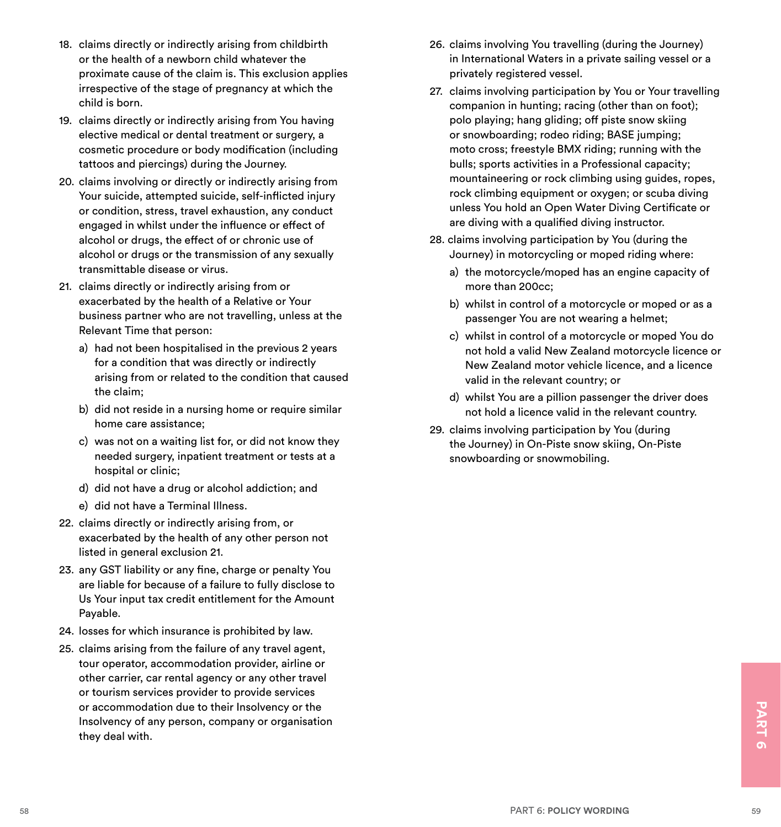- 18. claims directly or indirectly arising from childbirth or the health of a newborn child whatever the proximate cause of the claim is. This exclusion applies irrespective of the stage of pregnancy at which the child is born.
- 19. claims directly or indirectly arising from You having elective medical or dental treatment or surgery, a cosmetic procedure or body modification (including tattoos and piercings) during the Journey.
- 20. claims involving or directly or indirectly arising from Your suicide, attempted suicide, self-inflicted injury or condition, stress, travel exhaustion, any conduct engaged in whilst under the influence or effect of alcohol or drugs, the effect of or chronic use of alcohol or drugs or the transmission of any sexually transmittable disease or virus.
- 21. claims directly or indirectly arising from or exacerbated by the health of a Relative or Your business partner who are not travelling, unless at the Relevant Time that person:
	- a) had not been hospitalised in the previous 2 years for a condition that was directly or indirectly arising from or related to the condition that caused the claim;
	- b) did not reside in a nursing home or require similar home care assistance;
	- c) was not on a waiting list for, or did not know they needed surgery, inpatient treatment or tests at a hospital or clinic:
	- d) did not have a drug or alcohol addiction; and
	- e) did not have a Terminal Illness.
- 22. claims directly or indirectly arising from, or exacerbated by the health of any other person not listed in general exclusion 21.
- 23. any GST liability or any fine, charge or penalty You are liable for because of a failure to fully disclose to Us Your input tax credit entitlement for the Amount Payable.
- 24. losses for which insurance is prohibited by law.
- or accommodation due to their Insolvency or the<br>Insolvency of any person, company or organisation<br>they deal with.<br>58<br>PART 6: POLICY WORDING 25. claims arising from the failure of any travel agent, tour operator, accommodation provider, airline or other carrier, car rental agency or any other travel or tourism services provider to provide services or accommodation due to their Insolvency or the Insolvency of any person, company or organisation they deal with.
- 26. claims involving You travelling (during the Journey) in International Waters in a private sailing vessel or a privately registered vessel.
- 27. claims involving participation by You or Your travelling companion in hunting; racing (other than on foot); polo playing; hang gliding; off piste snow skiing or snowboarding; rodeo riding; BASE jumping; moto cross; freestyle BMX riding; running with the bulls; sports activities in a Professional capacity; mountaineering or rock climbing using guides, ropes, rock climbing equipment or oxygen; or scuba diving unless You hold an Open Water Diving Certificate or are diving with a qualified diving instructor.
- 28. claims involving participation by You (during the Journey) in motorcycling or moped riding where:
	- a) the motorcycle/moped has an engine capacity of more than 200cc;
	- b) whilst in control of a motorcycle or moped or as a passenger You are not wearing a helmet;
	- c) whilst in control of a motorcycle or moped You do not hold a valid New Zealand motorcycle licence or New Zealand motor vehicle licence, and a licence valid in the relevant country; or
	- d) whilst You are a pillion passenger the driver does not hold a licence valid in the relevant country.
- 29. claims involving participation by You (during the Journey) in On-Piste snow skiing, On-Piste snowboarding or snowmobiling.